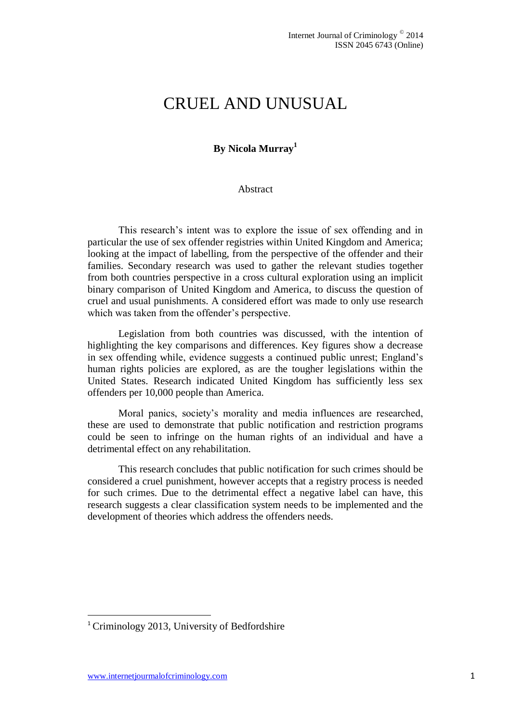# CRUEL AND UNUSUAL

# **By Nicola Murray<sup>1</sup>**

#### Abstract

This research's intent was to explore the issue of sex offending and in particular the use of sex offender registries within United Kingdom and America; looking at the impact of labelling, from the perspective of the offender and their families. Secondary research was used to gather the relevant studies together from both countries perspective in a cross cultural exploration using an implicit binary comparison of United Kingdom and America, to discuss the question of cruel and usual punishments. A considered effort was made to only use research which was taken from the offender's perspective.

Legislation from both countries was discussed, with the intention of highlighting the key comparisons and differences. Key figures show a decrease in sex offending while, evidence suggests a continued public unrest; England's human rights policies are explored, as are the tougher legislations within the United States. Research indicated United Kingdom has sufficiently less sex offenders per 10,000 people than America.

Moral panics, society's morality and media influences are researched, these are used to demonstrate that public notification and restriction programs could be seen to infringe on the human rights of an individual and have a detrimental effect on any rehabilitation.

This research concludes that public notification for such crimes should be considered a cruel punishment, however accepts that a registry process is needed for such crimes. Due to the detrimental effect a negative label can have, this research suggests a clear classification system needs to be implemented and the development of theories which address the offenders needs.

1

<sup>&</sup>lt;sup>1</sup> Criminology 2013, University of Bedfordshire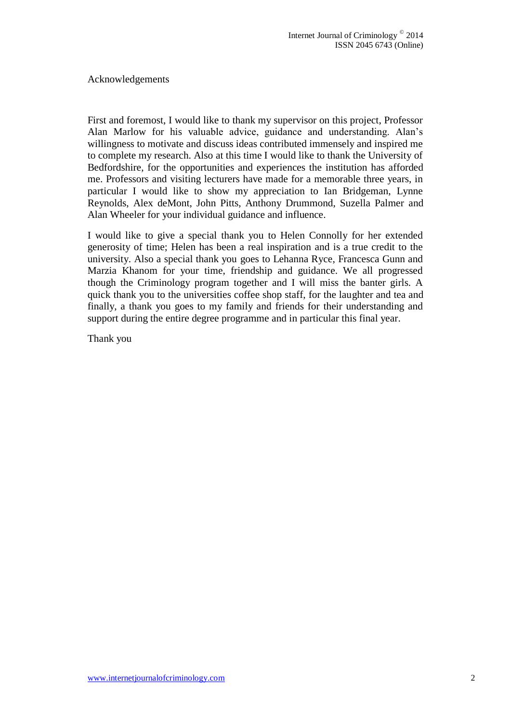Acknowledgements

First and foremost, I would like to thank my supervisor on this project, Professor Alan Marlow for his valuable advice, guidance and understanding. Alan's willingness to motivate and discuss ideas contributed immensely and inspired me to complete my research. Also at this time I would like to thank the University of Bedfordshire, for the opportunities and experiences the institution has afforded me. Professors and visiting lecturers have made for a memorable three years, in particular I would like to show my appreciation to Ian Bridgeman, Lynne Reynolds, Alex deMont, John Pitts, Anthony Drummond, Suzella Palmer and Alan Wheeler for your individual guidance and influence.

I would like to give a special thank you to Helen Connolly for her extended generosity of time; Helen has been a real inspiration and is a true credit to the university. Also a special thank you goes to Lehanna Ryce, Francesca Gunn and Marzia Khanom for your time, friendship and guidance. We all progressed though the Criminology program together and I will miss the banter girls. A quick thank you to the universities coffee shop staff, for the laughter and tea and finally, a thank you goes to my family and friends for their understanding and support during the entire degree programme and in particular this final year.

Thank you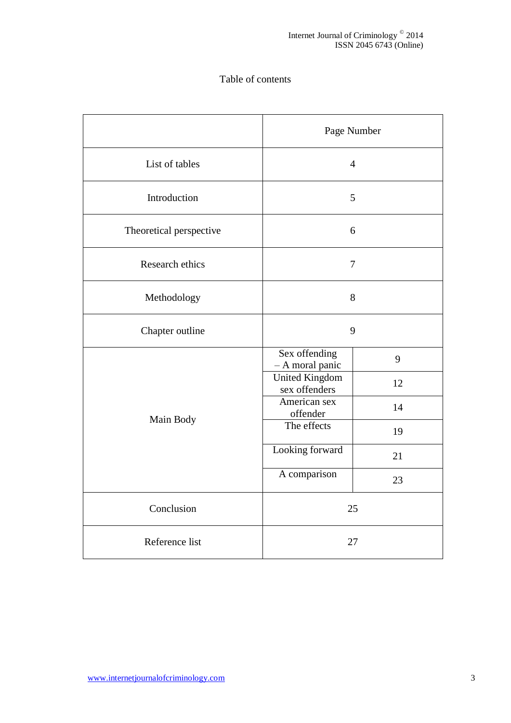# Table of contents

|                         | Page Number                            |    |  |
|-------------------------|----------------------------------------|----|--|
| List of tables          | $\overline{4}$                         |    |  |
| Introduction            | 5                                      |    |  |
| Theoretical perspective | 6                                      |    |  |
| Research ethics         | $\overline{7}$                         |    |  |
| Methodology             | 8                                      |    |  |
| Chapter outline         | 9                                      |    |  |
|                         | Sex offending<br>- A moral panic       | 9  |  |
|                         | <b>United Kingdom</b><br>sex offenders | 12 |  |
|                         | American sex<br>offender               | 14 |  |
| Main Body               | The effects                            | 19 |  |
|                         | Looking forward                        | 21 |  |
|                         | A comparison                           | 23 |  |
| Conclusion              | 25                                     |    |  |
| Reference list          | 27                                     |    |  |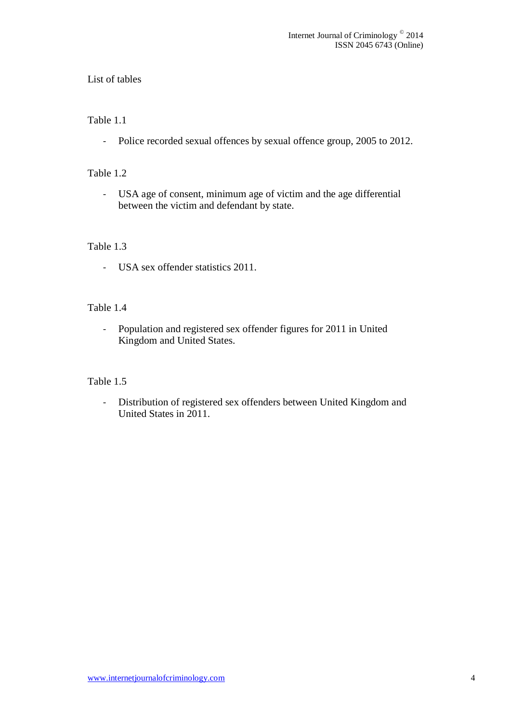# List of tables

# Table 1.1

- Police recorded sexual offences by sexual offence group, 2005 to 2012.

#### Table 1.2

- USA age of consent, minimum age of victim and the age differential between the victim and defendant by state.

### Table 1.3

- USA sex offender statistics 2011.

# Table 1.4

- Population and registered sex offender figures for 2011 in United Kingdom and United States.

# Table 1.5

- Distribution of registered sex offenders between United Kingdom and United States in 2011.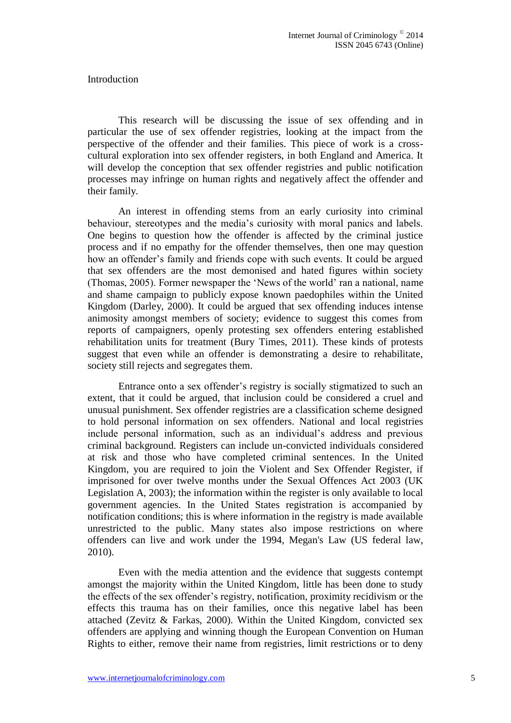**Introduction** 

This research will be discussing the issue of sex offending and in particular the use of sex offender registries, looking at the impact from the perspective of the offender and their families. This piece of work is a crosscultural exploration into sex offender registers, in both England and America. It will develop the conception that sex offender registries and public notification processes may infringe on human rights and negatively affect the offender and their family.

An interest in offending stems from an early curiosity into criminal behaviour, stereotypes and the media's curiosity with moral panics and labels. One begins to question how the offender is affected by the criminal justice process and if no empathy for the offender themselves, then one may question how an offender's family and friends cope with such events. It could be argued that sex offenders are the most demonised and hated figures within society (Thomas, 2005). Former newspaper the 'News of the world' ran a national, name and shame campaign to publicly expose known paedophiles within the United Kingdom (Darley, 2000). It could be argued that sex offending induces intense animosity amongst members of society; evidence to suggest this comes from reports of campaigners, openly protesting sex offenders entering established rehabilitation units for treatment (Bury Times, 2011). These kinds of protests suggest that even while an offender is demonstrating a desire to rehabilitate, society still rejects and segregates them.

Entrance onto a sex offender's registry is socially stigmatized to such an extent, that it could be argued, that inclusion could be considered a cruel and unusual punishment. Sex offender registries are a classification scheme designed to hold personal information on sex offenders. National and local registries include personal information, such as an individual's address and previous criminal background. Registers can include un-convicted individuals considered at risk and those who have completed criminal sentences. In the United Kingdom, you are required to join the Violent and Sex Offender Register, if imprisoned for over twelve months under the Sexual Offences Act 2003 (UK Legislation A, 2003); the information within the register is only available to local government agencies. In the United States registration is accompanied by notification conditions; this is where information in the registry is made available unrestricted to the public. Many states also impose restrictions on where offenders can live and work under the 1994, Megan's Law (US federal law, 2010).

Even with the media attention and the evidence that suggests contempt amongst the majority within the United Kingdom, little has been done to study the effects of the sex offender's registry, notification, proximity recidivism or the effects this trauma has on their families, once this negative label has been attached (Zevitz & Farkas, 2000). Within the United Kingdom, convicted sex offenders are applying and winning though the European Convention on Human Rights to either, remove their name from registries, limit restrictions or to deny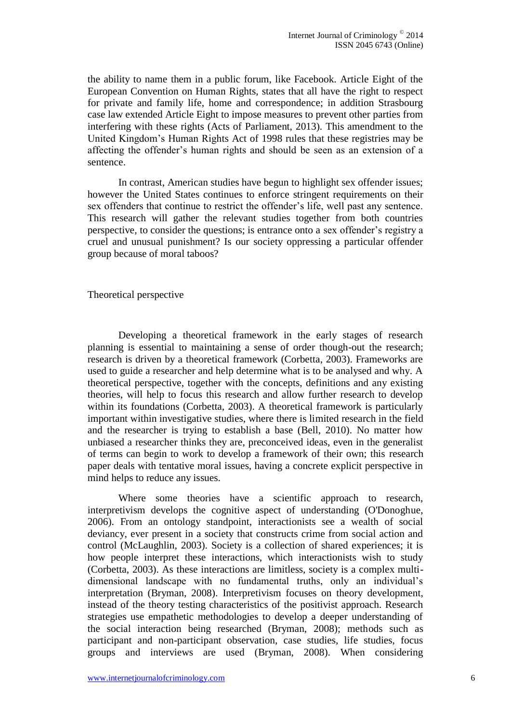the ability to name them in a public forum, like Facebook. Article Eight of the European Convention on Human Rights, states that all have the right to respect for private and family life, home and correspondence; in addition Strasbourg case law extended Article Eight to impose measures to prevent other parties from interfering with these rights (Acts of Parliament, 2013). This amendment to the United Kingdom's Human Rights Act of 1998 rules that these registries may be affecting the offender's human rights and should be seen as an extension of a sentence.

In contrast, American studies have begun to highlight sex offender issues; however the United States continues to enforce stringent requirements on their sex offenders that continue to restrict the offender's life, well past any sentence. This research will gather the relevant studies together from both countries perspective, to consider the questions; is entrance onto a sex offender's registry a cruel and unusual punishment? Is our society oppressing a particular offender group because of moral taboos?

Theoretical perspective

Developing a theoretical framework in the early stages of research planning is essential to maintaining a sense of order though-out the research; research is driven by a theoretical framework (Corbetta, 2003). Frameworks are used to guide a researcher and help determine what is to be analysed and why. A theoretical perspective, together with the concepts, definitions and any existing theories, will help to focus this research and allow further research to develop within its foundations (Corbetta, 2003). A theoretical framework is particularly important within investigative studies, where there is limited research in the field and the researcher is trying to establish a base (Bell, 2010). No matter how unbiased a researcher thinks they are, preconceived ideas, even in the generalist of terms can begin to work to develop a framework of their own; this research paper deals with tentative moral issues, having a concrete explicit perspective in mind helps to reduce any issues.

Where some theories have a scientific approach to research, interpretivism develops the cognitive aspect of understanding (O'Donoghue, 2006). From an ontology standpoint, interactionists see a wealth of social deviancy, ever present in a society that constructs crime from social action and control (McLaughlin, 2003). Society is a collection of shared experiences; it is how people interpret these interactions, which interactionists wish to study (Corbetta, 2003). As these interactions are limitless, society is a complex multidimensional landscape with no fundamental truths, only an individual's interpretation (Bryman, 2008). Interpretivism focuses on theory development, instead of the theory testing characteristics of the positivist approach. Research strategies use empathetic methodologies to develop a deeper understanding of the social interaction being researched (Bryman, 2008); methods such as participant and non-participant observation, case studies, life studies, focus groups and interviews are used (Bryman, 2008). When considering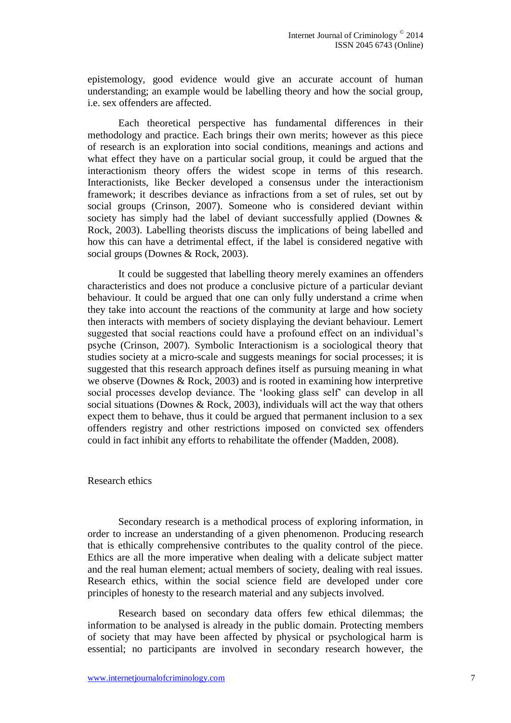epistemology, good evidence would give an accurate account of human understanding; an example would be labelling theory and how the social group, i.e. sex offenders are affected.

Each theoretical perspective has fundamental differences in their methodology and practice. Each brings their own merits; however as this piece of research is an exploration into social conditions, meanings and actions and what effect they have on a particular social group, it could be argued that the interactionism theory offers the widest scope in terms of this research. Interactionists, like Becker developed a consensus under the interactionism framework; it describes deviance as infractions from a set of rules, set out by social groups (Crinson, 2007). Someone who is considered deviant within society has simply had the label of deviant successfully applied (Downes & Rock, 2003). Labelling theorists discuss the implications of being labelled and how this can have a detrimental effect, if the label is considered negative with social groups (Downes & Rock, 2003).

It could be suggested that labelling theory merely examines an offenders characteristics and does not produce a conclusive picture of a particular deviant behaviour. It could be argued that one can only fully understand a crime when they take into account the reactions of the community at large and how society then interacts with members of society displaying the deviant behaviour. Lemert suggested that social reactions could have a profound effect on an individual's psyche (Crinson, 2007). Symbolic Interactionism is a sociological theory that studies society at a micro-scale and suggests meanings for social processes; it is suggested that this research approach defines itself as pursuing meaning in what we observe (Downes & Rock, 2003) and is rooted in examining how interpretive social processes develop deviance. The 'looking glass self' can develop in all social situations (Downes & Rock, 2003), individuals will act the way that others expect them to behave, thus it could be argued that permanent inclusion to a sex offenders registry and other restrictions imposed on convicted sex offenders could in fact inhibit any efforts to rehabilitate the offender (Madden, 2008).

#### Research ethics

Secondary research is a methodical process of exploring information, in order to increase an understanding of a given phenomenon. Producing research that is ethically comprehensive contributes to the quality control of the piece. Ethics are all the more imperative when dealing with a delicate subject matter and the real human element; actual members of society, dealing with real issues. Research ethics, within the social science field are developed under core principles of honesty to the research material and any subjects involved.

Research based on secondary data offers few ethical dilemmas; the information to be analysed is already in the public domain. Protecting members of society that may have been affected by physical or psychological harm is essential; no participants are involved in secondary research however, the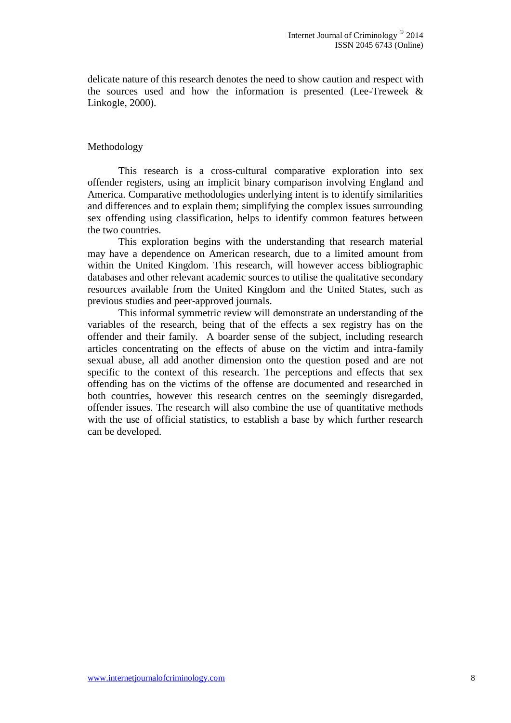delicate nature of this research denotes the need to show caution and respect with the sources used and how the information is presented (Lee-Treweek & Linkogle, 2000).

#### Methodology

This research is a cross-cultural comparative exploration into sex offender registers, using an implicit binary comparison involving England and America. Comparative methodologies underlying intent is to identify similarities and differences and to explain them; simplifying the complex issues surrounding sex offending using classification, helps to identify common features between the two countries.

This exploration begins with the understanding that research material may have a dependence on American research, due to a limited amount from within the United Kingdom. This research, will however access bibliographic databases and other relevant academic sources to utilise the qualitative secondary resources available from the United Kingdom and the United States, such as previous studies and peer-approved journals.

This informal symmetric review will demonstrate an understanding of the variables of the research, being that of the effects a sex registry has on the offender and their family. A boarder sense of the subject, including research articles concentrating on the effects of abuse on the victim and intra-family sexual abuse, all add another dimension onto the question posed and are not specific to the context of this research. The perceptions and effects that sex offending has on the victims of the offense are documented and researched in both countries, however this research centres on the seemingly disregarded, offender issues. The research will also combine the use of quantitative methods with the use of official statistics, to establish a base by which further research can be developed.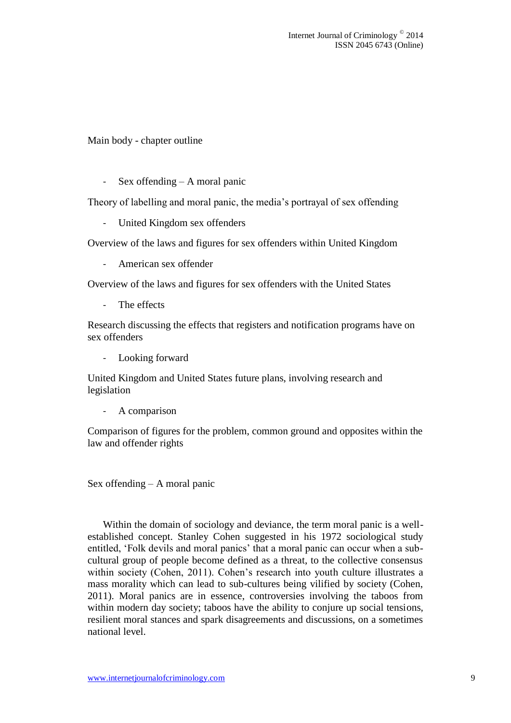Main body - chapter outline

- Sex offending – A moral panic

Theory of labelling and moral panic, the media's portrayal of sex offending

- United Kingdom sex offenders

Overview of the laws and figures for sex offenders within United Kingdom

- American sex offender

Overview of the laws and figures for sex offenders with the United States

The effects

Research discussing the effects that registers and notification programs have on sex offenders

Looking forward

United Kingdom and United States future plans, involving research and legislation

- A comparison

Comparison of figures for the problem, common ground and opposites within the law and offender rights

Sex offending – A moral panic

Within the domain of sociology and deviance, the term moral panic is a wellestablished concept. Stanley Cohen suggested in his 1972 sociological study entitled, 'Folk devils and moral panics' that a moral panic can occur when a subcultural group of people become defined as a threat, to the collective consensus within society (Cohen, 2011). Cohen's research into youth culture illustrates a mass morality which can lead to sub-cultures being vilified by society (Cohen, 2011). Moral panics are in essence, controversies involving the taboos from within modern day society; taboos have the ability to conjure up social tensions, resilient moral stances and spark disagreements and discussions, on a sometimes national level.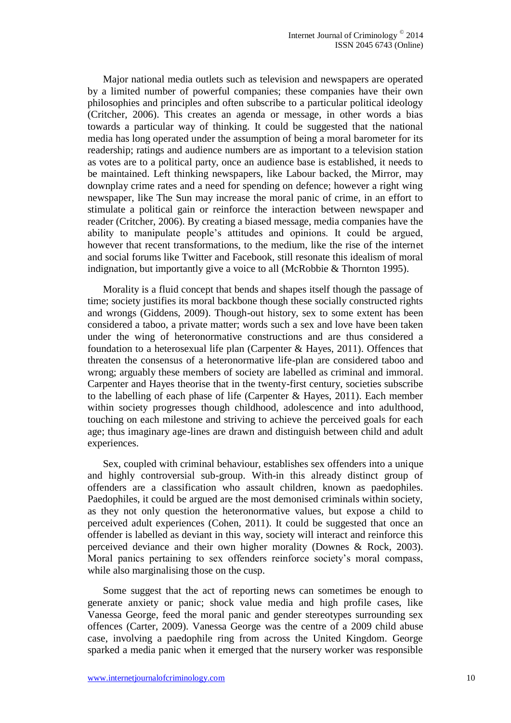Major national media outlets such as television and newspapers are operated by a limited number of powerful companies; these companies have their own philosophies and principles and often subscribe to a particular political ideology (Critcher, 2006). This creates an agenda or message, in other words a bias towards a particular way of thinking. It could be suggested that the national media has long operated under the assumption of being a moral barometer for its readership; ratings and audience numbers are as important to a television station as votes are to a political party, once an audience base is established, it needs to be maintained. Left thinking newspapers, like Labour backed, the Mirror, may downplay crime rates and a need for spending on defence; however a right wing newspaper, like The Sun may increase the moral panic of crime, in an effort to stimulate a political gain or reinforce the interaction between newspaper and reader (Critcher, 2006). By creating a biased message, media companies have the ability to manipulate people's attitudes and opinions. It could be argued, however that recent transformations, to the medium, like the rise of the internet and social forums like Twitter and Facebook, still resonate this idealism of moral indignation, but importantly give a voice to all (McRobbie & Thornton 1995).

Morality is a fluid concept that bends and shapes itself though the passage of time; society justifies its moral backbone though these socially constructed rights and wrongs (Giddens, 2009). Though-out history, sex to some extent has been considered a taboo, a private matter; words such a sex and love have been taken under the wing of heteronormative constructions and are thus considered a foundation to a heterosexual life plan (Carpenter  $\&$  Hayes, 2011). Offences that threaten the consensus of a heteronormative life-plan are considered taboo and wrong; arguably these members of society are labelled as criminal and immoral. Carpenter and Hayes theorise that in the twenty-first century, societies subscribe to the labelling of each phase of life (Carpenter & Hayes, 2011). Each member within society progresses though childhood, adolescence and into adulthood, touching on each milestone and striving to achieve the perceived goals for each age; thus imaginary age-lines are drawn and distinguish between child and adult experiences.

Sex, coupled with criminal behaviour, establishes sex offenders into a unique and highly controversial sub-group. With-in this already distinct group of offenders are a classification who assault children, known as paedophiles. Paedophiles, it could be argued are the most demonised criminals within society, as they not only question the heteronormative values, but expose a child to perceived adult experiences (Cohen, 2011). It could be suggested that once an offender is labelled as deviant in this way, society will interact and reinforce this perceived deviance and their own higher morality (Downes & Rock, 2003). Moral panics pertaining to sex offenders reinforce society's moral compass, while also marginalising those on the cusp.

Some suggest that the act of reporting news can sometimes be enough to generate anxiety or panic; shock value media and high profile cases, like Vanessa George, feed the moral panic and gender stereotypes surrounding sex offences (Carter, 2009). Vanessa George was the centre of a 2009 child abuse case, involving a paedophile ring from across the United Kingdom. George sparked a media panic when it emerged that the nursery worker was responsible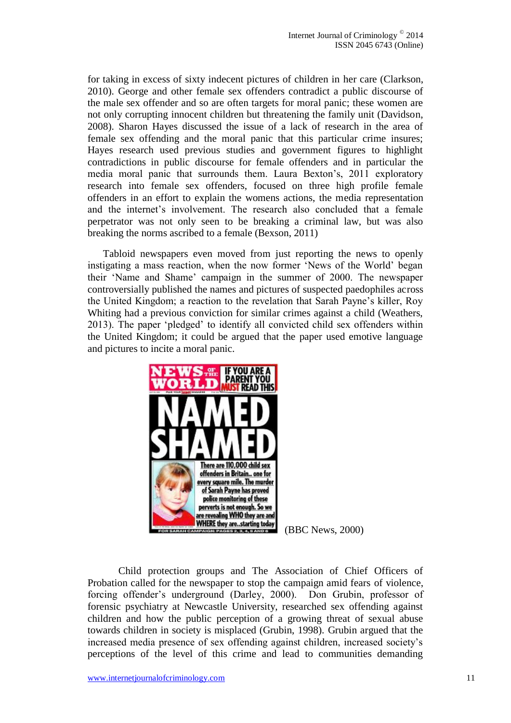for taking in excess of sixty indecent pictures of children in her care (Clarkson, 2010). George and other female sex offenders contradict a public discourse of the male sex offender and so are often targets for moral panic; these women are not only corrupting innocent children but threatening the family unit (Davidson, 2008). Sharon Hayes discussed the issue of a lack of research in the area of female sex offending and the moral panic that this particular crime insures; Hayes research used previous studies and government figures to highlight contradictions in public discourse for female offenders and in particular the media moral panic that surrounds them. Laura Bexton's, 2011 exploratory research into female sex offenders, focused on three high profile female offenders in an effort to explain the womens actions, the media representation and the internet's involvement. The research also concluded that a female perpetrator was not only seen to be breaking a criminal law, but was also breaking the norms ascribed to a female (Bexson, 2011)

Tabloid newspapers even moved from just reporting the news to openly instigating a mass reaction, when the now former 'News of the World' began their 'Name and Shame' campaign in the summer of 2000. The newspaper controversially published the names and pictures of suspected paedophiles across the United Kingdom; a reaction to the revelation that Sarah Payne's killer, Roy Whiting had a previous conviction for similar crimes against a child (Weathers, 2013). The paper 'pledged' to identify all convicted child sex offenders within the United Kingdom; it could be argued that the paper used emotive language and pictures to incite a moral panic.



(BBC News, 2000)

Child protection groups and The Association of Chief Officers of Probation called for the newspaper to stop the campaign amid fears of violence, forcing offender's underground (Darley, 2000). Don Grubin, professor of forensic psychiatry at Newcastle University, researched sex offending against children and how the public perception of a growing threat of sexual abuse towards children in society is misplaced (Grubin, 1998). Grubin argued that the increased media presence of sex offending against children, increased society's perceptions of the level of this crime and lead to communities demanding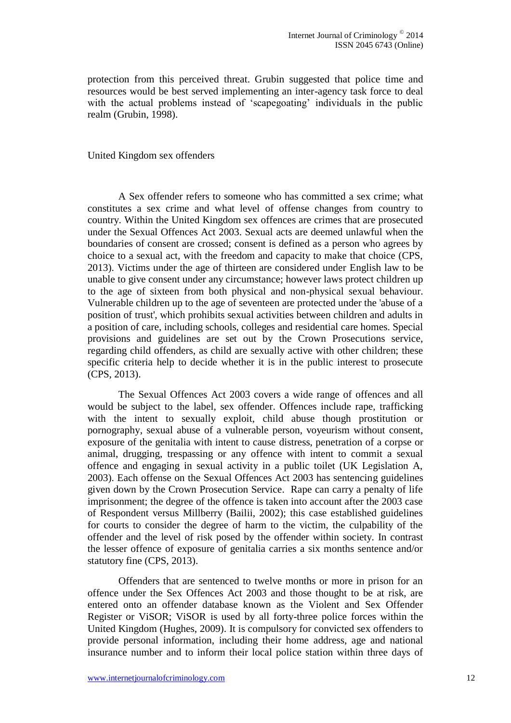protection from this perceived threat. Grubin suggested that police time and resources would be best served implementing an inter-agency task force to deal with the actual problems instead of 'scapegoating' individuals in the public realm (Grubin, 1998).

#### United Kingdom sex offenders

A Sex offender refers to someone who has committed a sex crime; what constitutes a sex crime and what level of offense changes from country to country. Within the United Kingdom sex offences are crimes that are prosecuted under the Sexual Offences Act 2003. Sexual acts are deemed unlawful when the boundaries of consent are crossed; consent is defined as a person who agrees by choice to a sexual act, with the freedom and capacity to make that choice (CPS, 2013). Victims under the age of thirteen are considered under English law to be unable to give consent under any circumstance; however laws protect children up to the age of sixteen from both physical and non-physical sexual behaviour. Vulnerable children up to the age of seventeen are protected under the 'abuse of a position of trust', which prohibits sexual activities between children and adults in a position of care, including schools, colleges and residential care homes. Special provisions and guidelines are set out by the Crown Prosecutions service, regarding child offenders, as child are sexually active with other children; these specific criteria help to decide whether it is in the public interest to prosecute (CPS, 2013).

The Sexual Offences Act 2003 covers a wide range of offences and all would be subject to the label, sex offender. Offences include rape, trafficking with the intent to sexually exploit, child abuse though prostitution or pornography, sexual abuse of a vulnerable person, voyeurism without consent, exposure of the genitalia with intent to cause distress, penetration of a corpse or animal, drugging, trespassing or any offence with intent to commit a sexual offence and engaging in sexual activity in a public toilet (UK Legislation A, 2003). Each offense on the Sexual Offences Act 2003 has sentencing guidelines given down by the Crown Prosecution Service. Rape can carry a penalty of life imprisonment; the degree of the offence is taken into account after the 2003 case of Respondent versus Millberry (Bailii, 2002); this case established guidelines for courts to consider the degree of harm to the victim, the culpability of the offender and the level of risk posed by the offender within society. In contrast the lesser offence of exposure of genitalia carries a six months sentence and/or statutory fine (CPS, 2013).

Offenders that are sentenced to twelve months or more in prison for an offence under the Sex Offences Act 2003 and those thought to be at risk, are entered onto an offender database known as the Violent and Sex Offender Register or ViSOR; ViSOR is used by all forty-three police forces within the United Kingdom (Hughes, 2009). It is compulsory for convicted sex offenders to provide personal information, including their home address, age and national insurance number and to inform their local police station within three days of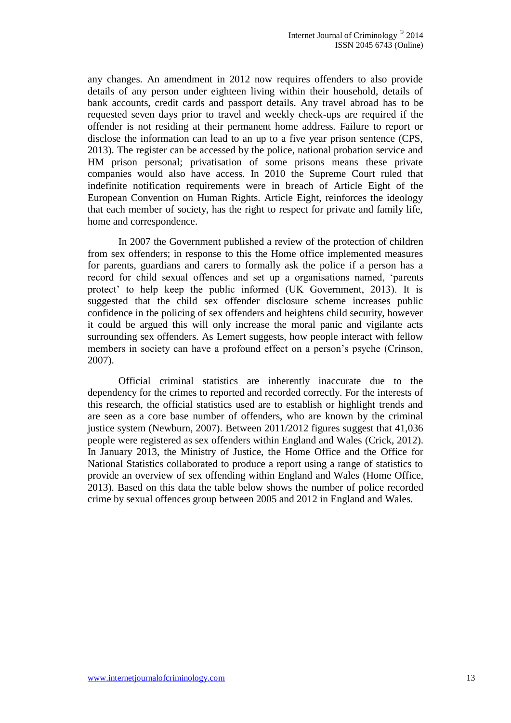any changes. An amendment in 2012 now requires offenders to also provide details of any person under eighteen living within their household, details of bank accounts, credit cards and passport details. Any travel abroad has to be requested seven days prior to travel and weekly check-ups are required if the offender is not residing at their permanent home address. Failure to report or disclose the information can lead to an up to a five year prison sentence (CPS, 2013). The register can be accessed by the police, national probation service and HM prison personal; privatisation of some prisons means these private companies would also have access. In 2010 the Supreme Court ruled that indefinite notification requirements were in breach of Article Eight of the European Convention on Human Rights. Article Eight, reinforces the ideology that each member of society, has the right to respect for private and family life, home and correspondence.

In 2007 the Government published a review of the protection of children from sex offenders; in response to this the Home office implemented measures for parents, guardians and carers to formally ask the police if a person has a record for child sexual offences and set up a organisations named, 'parents protect' to help keep the public informed (UK Government, 2013). It is suggested that the child sex offender disclosure scheme increases public confidence in the policing of sex offenders and heightens child security, however it could be argued this will only increase the moral panic and vigilante acts surrounding sex offenders. As Lemert suggests, how people interact with fellow members in society can have a profound effect on a person's psyche (Crinson, 2007).

Official criminal statistics are inherently inaccurate due to the dependency for the crimes to reported and recorded correctly. For the interests of this research, the official statistics used are to establish or highlight trends and are seen as a core base number of offenders, who are known by the criminal justice system (Newburn, 2007). Between 2011/2012 figures suggest that 41,036 people were registered as sex offenders within England and Wales (Crick, 2012). In January 2013, the Ministry of Justice, the Home Office and the Office for National Statistics collaborated to produce a report using a range of statistics to provide an overview of sex offending within England and Wales (Home Office, 2013). Based on this data the table below shows the number of police recorded crime by sexual offences group between 2005 and 2012 in England and Wales.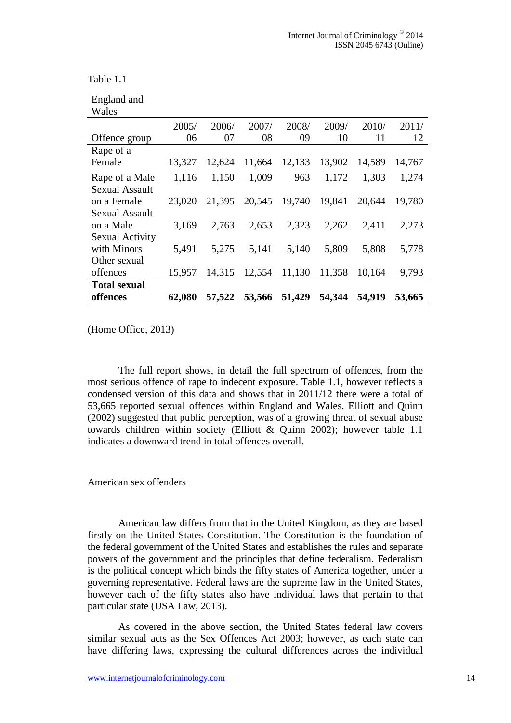Table 1.1

| England and |  |
|-------------|--|
| 117-1--     |  |

| w ales                |        |        |        |        |        |        |        |
|-----------------------|--------|--------|--------|--------|--------|--------|--------|
|                       | 2005/  | 2006/  | 2007/  | 2008/  | 2009/  | 2010/  | 2011/  |
| Offence group         | 06     | 07     | 08     | 09     | 10     | 11     | 12     |
| Rape of a             |        |        |        |        |        |        |        |
| Female                | 13,327 | 12,624 | 11,664 | 12,133 | 13,902 | 14,589 | 14,767 |
| Rape of a Male        | 1,116  | 1,150  | 1,009  | 963    | 1,172  | 1,303  | 1,274  |
| <b>Sexual Assault</b> |        |        |        |        |        |        |        |
| on a Female           | 23,020 | 21,395 | 20,545 | 19,740 | 19,841 | 20,644 | 19,780 |
| <b>Sexual Assault</b> |        |        |        |        |        |        |        |
| on a Male             | 3,169  | 2,763  | 2,653  | 2,323  | 2,262  | 2,411  | 2,273  |
| Sexual Activity       |        |        |        |        |        |        |        |
| with Minors           | 5,491  | 5,275  | 5,141  | 5,140  | 5,809  | 5,808  | 5,778  |
| Other sexual          |        |        |        |        |        |        |        |
| offences              | 15,957 | 14,315 | 12,554 | 11,130 | 11,358 | 10,164 | 9,793  |
| <b>Total sexual</b>   |        |        |        |        |        |        |        |
| offences              | 62,080 | 57,522 | 53,566 | 51,429 | 54,344 | 54,919 | 53,665 |

(Home Office, 2013)

The full report shows, in detail the full spectrum of offences, from the most serious offence of rape to indecent exposure. Table 1.1, however reflects a condensed version of this data and shows that in 2011/12 there were a total of 53,665 reported sexual offences within England and Wales. Elliott and Quinn (2002) suggested that public perception, was of a growing threat of sexual abuse towards children within society (Elliott & Quinn 2002); however table 1.1 indicates a downward trend in total offences overall.

#### American sex offenders

American law differs from that in the United Kingdom, as they are based firstly on the United States Constitution. The Constitution is the foundation of the federal government of the United States and establishes the rules and separate powers of the government and the principles that define federalism. Federalism is the political concept which binds the fifty states of America together, under a governing representative. Federal laws are the supreme law in the United States, however each of the fifty states also have individual laws that pertain to that particular state (USA Law, 2013).

As covered in the above section, the United States federal law covers similar sexual acts as the Sex Offences Act 2003; however, as each state can have differing laws, expressing the cultural differences across the individual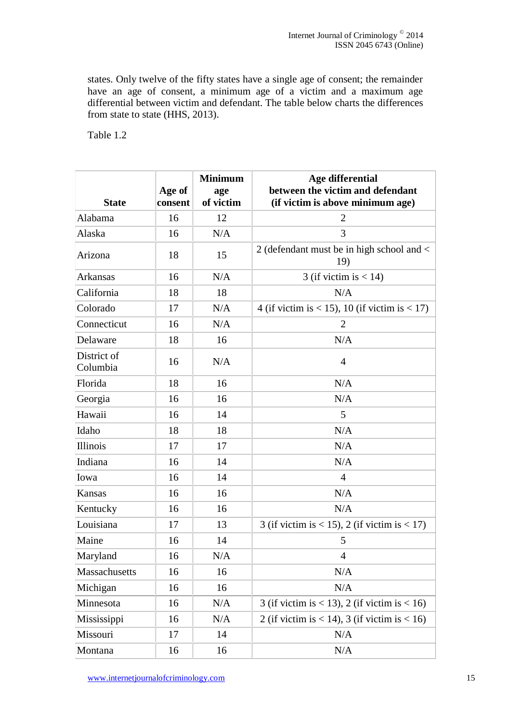states. Only twelve of the fifty states have a single age of consent; the remainder have an age of consent, a minimum age of a victim and a maximum age differential between victim and defendant. The table below charts the differences from state to state (HHS, 2013).

Table 1.2

| <b>State</b>            | Age of<br>consent | <b>Minimum</b><br>age<br>of victim | Age differential<br>between the victim and defendant<br>(if victim is above minimum age) |
|-------------------------|-------------------|------------------------------------|------------------------------------------------------------------------------------------|
| Alabama                 | 16                | 12                                 | $\overline{2}$                                                                           |
| Alaska                  | 16                | N/A                                | 3                                                                                        |
| Arizona                 | 18                | 15                                 | 2 (defendant must be in high school and <<br>19)                                         |
| <b>Arkansas</b>         | 16                | N/A                                | 3 (if victim is $< 14$ )                                                                 |
| California              | 18                | 18                                 | N/A                                                                                      |
| Colorado                | 17                | N/A                                | 4 (if victim is < 15), 10 (if victim is < 17)                                            |
| Connecticut             | 16                | N/A                                | $\overline{2}$                                                                           |
| Delaware                | 18                | 16                                 | N/A                                                                                      |
| District of<br>Columbia | 16                | N/A                                | 4                                                                                        |
| Florida                 | 18                | 16                                 | N/A                                                                                      |
| Georgia                 | 16                | 16                                 | N/A                                                                                      |
| Hawaii                  | 16                | 14                                 | 5                                                                                        |
| Idaho                   | 18                | 18                                 | N/A                                                                                      |
| <b>Illinois</b>         | 17                | 17                                 | N/A                                                                                      |
| Indiana                 | 16                | 14                                 | N/A                                                                                      |
| Iowa                    | 16                | 14                                 | $\overline{4}$                                                                           |
| Kansas                  | 16                | 16                                 | N/A                                                                                      |
| Kentucky                | 16                | 16                                 | N/A                                                                                      |
| Louisiana               | 17                | 13                                 | 3 (if victim is < 15), 2 (if victim is < 17)                                             |
| Maine                   | 16                | 14                                 | 5                                                                                        |
| Maryland                | 16                | N/A                                | 4                                                                                        |
| Massachusetts           | 16                | 16                                 | N/A                                                                                      |
| Michigan                | 16                | 16                                 | N/A                                                                                      |
| Minnesota               | 16                | N/A                                | 3 (if victim is < 13), 2 (if victim is < 16)                                             |
| Mississippi             | 16                | N/A                                | 2 (if victim is < 14), 3 (if victim is < 16)                                             |
| Missouri                | 17                | 14                                 | N/A                                                                                      |
| Montana                 | 16                | 16                                 | N/A                                                                                      |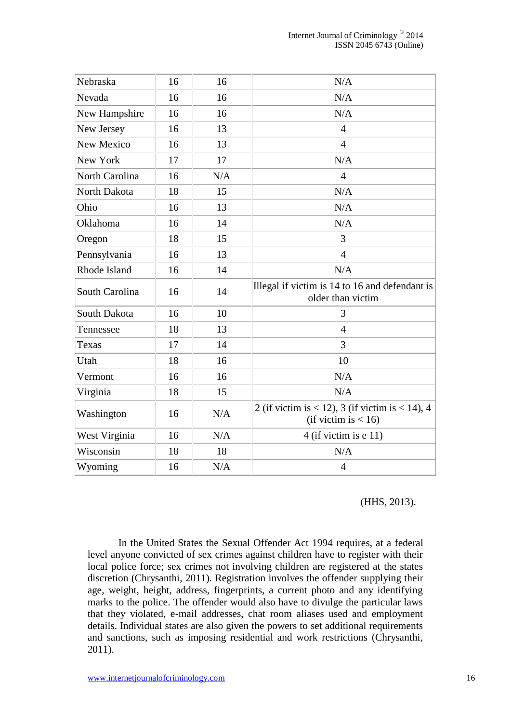| Nebraska       | 16 | 16  | N/A                                                                       |  |
|----------------|----|-----|---------------------------------------------------------------------------|--|
| Nevada         | 16 | 16  | N/A                                                                       |  |
| New Hampshire  | 16 | 16  | N/A                                                                       |  |
| New Jersey     | 16 | 13  | $\overline{4}$                                                            |  |
| New Mexico     | 16 | 13  | $\overline{4}$                                                            |  |
| New York       | 17 | 17  | N/A                                                                       |  |
| North Carolina | 16 | N/A | $\overline{4}$                                                            |  |
| North Dakota   | 18 | 15  | N/A                                                                       |  |
| Ohio           | 16 | 13  | N/A                                                                       |  |
| Oklahoma       | 16 | 14  | N/A                                                                       |  |
| Oregon         | 18 | 15  | 3                                                                         |  |
| Pennsylvania   | 16 | 13  | $\overline{4}$                                                            |  |
| Rhode Island   | 16 | 14  | N/A                                                                       |  |
| South Carolina | 16 | 14  | Illegal if victim is 14 to 16 and defendant is<br>older than victim       |  |
| South Dakota   | 16 | 10  | 3                                                                         |  |
| Tennessee      | 18 | 13  | $\overline{4}$                                                            |  |
| Texas          | 17 | 14  | 3                                                                         |  |
| Utah           | 18 | 16  | 10                                                                        |  |
| Vermont        | 16 | 16  | N/A                                                                       |  |
| Virginia       | 18 | 15  | N/A                                                                       |  |
| Washington     | 16 | N/A | 2 (if victim is < 12), 3 (if victim is < 14), 4<br>(if victim is $< 16$ ) |  |
| West Virginia  | 16 | N/A | $4$ (if victim is e 11)                                                   |  |
| Wisconsin      | 18 | 18  | N/A                                                                       |  |
| Wyoming        | 16 | N/A | $\overline{4}$                                                            |  |

#### (HHS, 2013).

In the United States the Sexual Offender Act 1994 requires, at a federal level anyone convicted of sex crimes against children have to register with their local police force; sex crimes not involving children are registered at the states discretion (Chrysanthi, 2011). Registration involves the offender supplying their age, weight, height, address, fingerprints, a current photo and any identifying marks to the police. The offender would also have to divulge the particular laws that they violated, e-mail addresses, chat room aliases used and employment details. Individual states are also given the powers to set additional requirements and sanctions, such as imposing residential and work restrictions (Chrysanthi, 2011).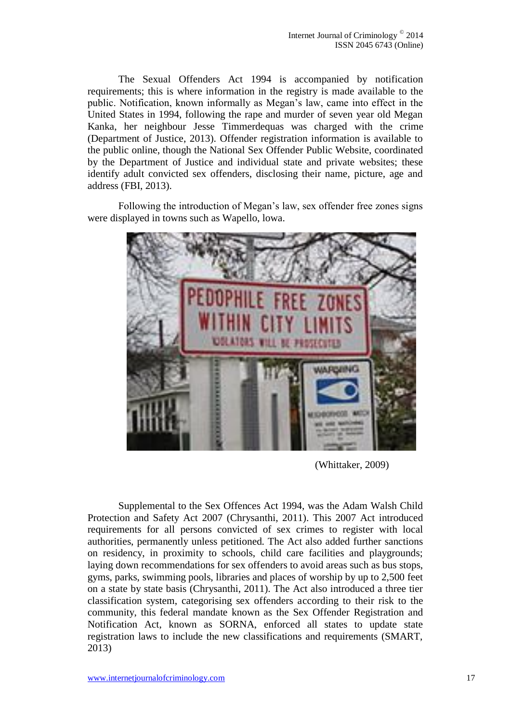The Sexual Offenders Act 1994 is accompanied by notification requirements; this is where information in the registry is made available to the public. Notification, known informally as Megan's law, came into effect in the United States in 1994, following the rape and murder of seven year old Megan Kanka, her neighbour Jesse Timmerdequas was charged with the crime (Department of Justice, 2013). Offender registration information is available to the public online, though the National Sex Offender Public Website, coordinated by the Department of Justice and individual state and private websites; these identify adult convicted sex offenders, disclosing their name, picture, age and address (FBI, 2013).

Following the introduction of Megan's law, sex offender free zones signs were displayed in towns such as Wapello, lowa.



(Whittaker, 2009)

Supplemental to the Sex Offences Act 1994, was the Adam Walsh Child Protection and Safety Act 2007 (Chrysanthi, 2011). This 2007 Act introduced requirements for all persons convicted of sex crimes to register with local authorities, permanently unless petitioned. The Act also added further sanctions on residency, in proximity to schools, child care facilities and playgrounds; laying down recommendations for sex offenders to avoid areas such as bus stops, gyms, parks, swimming pools, libraries and places of worship by up to 2,500 feet on a state by state basis (Chrysanthi, 2011). The Act also introduced a three tier classification system, categorising sex offenders according to their risk to the community, this federal mandate known as the Sex Offender Registration and Notification Act, known as SORNA, enforced all states to update state registration laws to include the new classifications and requirements (SMART, 2013)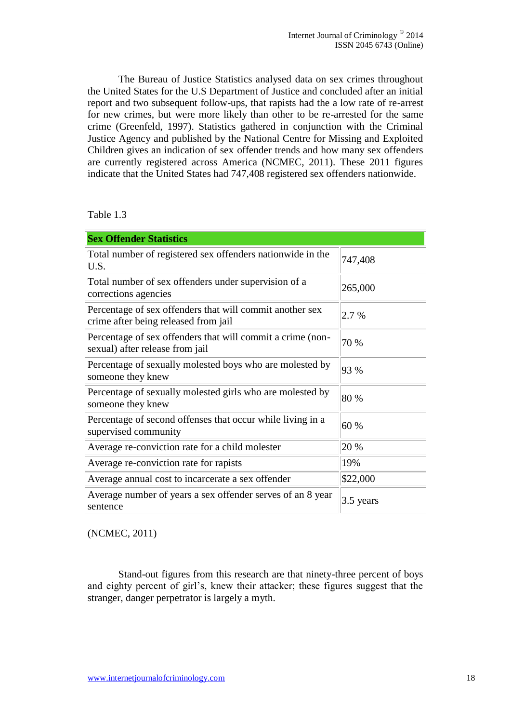The Bureau of Justice Statistics analysed data on sex crimes throughout the United States for the U.S Department of Justice and concluded after an initial report and two subsequent follow-ups, that rapists had the a low rate of re-arrest for new crimes, but were more likely than other to be re-arrested for the same crime (Greenfeld, 1997). Statistics gathered in conjunction with the Criminal Justice Agency and published by the National Centre for Missing and Exploited Children gives an indication of sex offender trends and how many sex offenders are currently registered across America (NCMEC, 2011). These 2011 figures indicate that the United States had 747,408 registered sex offenders nationwide.

#### Table 1.3

| <b>Sex Offender Statistics</b>                                                                   |           |  |  |  |  |
|--------------------------------------------------------------------------------------------------|-----------|--|--|--|--|
| Total number of registered sex offenders nationwide in the<br>U.S.                               | 747,408   |  |  |  |  |
| Total number of sex offenders under supervision of a<br>corrections agencies                     | 265,000   |  |  |  |  |
| Percentage of sex offenders that will commit another sex<br>crime after being released from jail | 2.7 %     |  |  |  |  |
| Percentage of sex offenders that will commit a crime (non-<br>sexual) after release from jail    | 70 %      |  |  |  |  |
| Percentage of sexually molested boys who are molested by<br>someone they knew                    | 93 %      |  |  |  |  |
| Percentage of sexually molested girls who are molested by<br>someone they knew                   | 80 %      |  |  |  |  |
| Percentage of second offenses that occur while living in a<br>supervised community               | 60 %      |  |  |  |  |
| Average re-conviction rate for a child molester                                                  | 20 %      |  |  |  |  |
| Average re-conviction rate for rapists                                                           | 19%       |  |  |  |  |
| Average annual cost to incarcerate a sex offender                                                | \$22,000  |  |  |  |  |
| Average number of years a sex offender serves of an 8 year<br>sentence                           | 3.5 years |  |  |  |  |

(NCMEC, 2011)

Stand-out figures from this research are that ninety-three percent of boys and eighty percent of girl's, knew their attacker; these figures suggest that the stranger, danger perpetrator is largely a myth.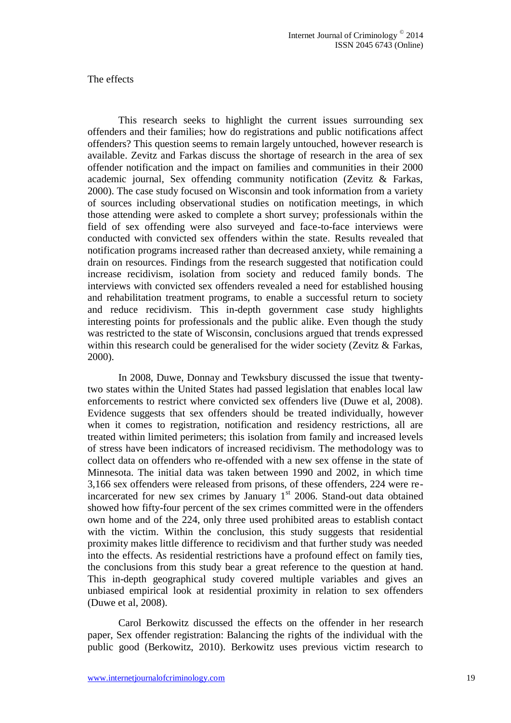#### The effects

This research seeks to highlight the current issues surrounding sex offenders and their families; how do registrations and public notifications affect offenders? This question seems to remain largely untouched, however research is available. Zevitz and Farkas discuss the shortage of research in the area of sex offender notification and the impact on families and communities in their 2000 academic journal, Sex offending community notification (Zevitz & Farkas, 2000). The case study focused on Wisconsin and took information from a variety of sources including observational studies on notification meetings, in which those attending were asked to complete a short survey; professionals within the field of sex offending were also surveyed and face-to-face interviews were conducted with convicted sex offenders within the state. Results revealed that notification programs increased rather than decreased anxiety, while remaining a drain on resources. Findings from the research suggested that notification could increase recidivism, isolation from society and reduced family bonds. The interviews with convicted sex offenders revealed a need for established housing and rehabilitation treatment programs, to enable a successful return to society and reduce recidivism. This in-depth government case study highlights interesting points for professionals and the public alike. Even though the study was restricted to the state of Wisconsin, conclusions argued that trends expressed within this research could be generalised for the wider society (Zevitz & Farkas, 2000).

In 2008, Duwe, Donnay and Tewksbury discussed the issue that twentytwo states within the United States had passed legislation that enables local law enforcements to restrict where convicted sex offenders live (Duwe et al, 2008). Evidence suggests that sex offenders should be treated individually, however when it comes to registration, notification and residency restrictions, all are treated within limited perimeters; this isolation from family and increased levels of stress have been indicators of increased recidivism. The methodology was to collect data on offenders who re-offended with a new sex offense in the state of Minnesota. The initial data was taken between 1990 and 2002, in which time 3,166 sex offenders were released from prisons, of these offenders, 224 were reincarcerated for new sex crimes by January  $1<sup>st</sup>$  2006. Stand-out data obtained showed how fifty-four percent of the sex crimes committed were in the offenders own home and of the 224, only three used prohibited areas to establish contact with the victim. Within the conclusion, this study suggests that residential proximity makes little difference to recidivism and that further study was needed into the effects. As residential restrictions have a profound effect on family ties, the conclusions from this study bear a great reference to the question at hand. This in-depth geographical study covered multiple variables and gives an unbiased empirical look at residential proximity in relation to sex offenders (Duwe et al, 2008).

Carol Berkowitz discussed the effects on the offender in her research paper, Sex offender registration: Balancing the rights of the individual with the public good (Berkowitz, 2010). Berkowitz uses previous victim research to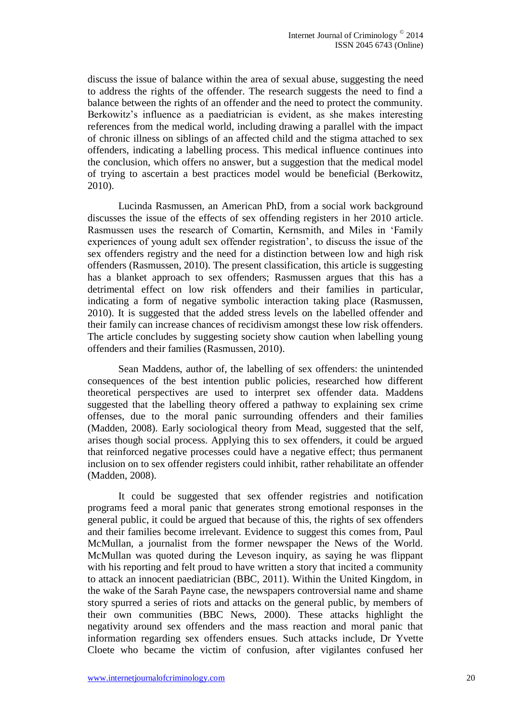discuss the issue of balance within the area of sexual abuse, suggesting the need to address the rights of the offender. The research suggests the need to find a balance between the rights of an offender and the need to protect the community. Berkowitz's influence as a paediatrician is evident, as she makes interesting references from the medical world, including drawing a parallel with the impact of chronic illness on siblings of an affected child and the stigma attached to sex offenders, indicating a labelling process. This medical influence continues into the conclusion, which offers no answer, but a suggestion that the medical model of trying to ascertain a best practices model would be beneficial (Berkowitz, 2010).

Lucinda Rasmussen, an American PhD, from a social work background discusses the issue of the effects of sex offending registers in her 2010 article. Rasmussen uses the research of Comartin, Kernsmith, and Miles in 'Family experiences of young adult sex offender registration', to discuss the issue of the sex offenders registry and the need for a distinction between low and high risk offenders (Rasmussen, 2010). The present classification, this article is suggesting has a blanket approach to sex offenders; Rasmussen argues that this has a detrimental effect on low risk offenders and their families in particular, indicating a form of negative symbolic interaction taking place (Rasmussen, 2010). It is suggested that the added stress levels on the labelled offender and their family can increase chances of recidivism amongst these low risk offenders. The article concludes by suggesting society show caution when labelling young offenders and their families (Rasmussen, 2010).

Sean Maddens, author of, the labelling of sex offenders: the unintended consequences of the best intention public policies, researched how different theoretical perspectives are used to interpret sex offender data. Maddens suggested that the labelling theory offered a pathway to explaining sex crime offenses, due to the moral panic surrounding offenders and their families (Madden, 2008). Early sociological theory from Mead, suggested that the self, arises though social process. Applying this to sex offenders, it could be argued that reinforced negative processes could have a negative effect; thus permanent inclusion on to sex offender registers could inhibit, rather rehabilitate an offender (Madden, 2008).

It could be suggested that sex offender registries and notification programs feed a moral panic that generates strong emotional responses in the general public, it could be argued that because of this, the rights of sex offenders and their families become irrelevant. Evidence to suggest this comes from, Paul McMullan, a journalist from the former newspaper the News of the World. McMullan was quoted during the Leveson inquiry, as saying he was flippant with his reporting and felt proud to have written a story that incited a community to attack an innocent paediatrician (BBC, 2011). Within the United Kingdom, in the wake of the Sarah Payne case, the newspapers controversial name and shame story spurred a series of riots and attacks on the general public, by members of their own communities (BBC News, 2000). These attacks highlight the negativity around sex offenders and the mass reaction and moral panic that information regarding sex offenders ensues. Such attacks include, Dr Yvette Cloete who became the victim of confusion, after vigilantes confused her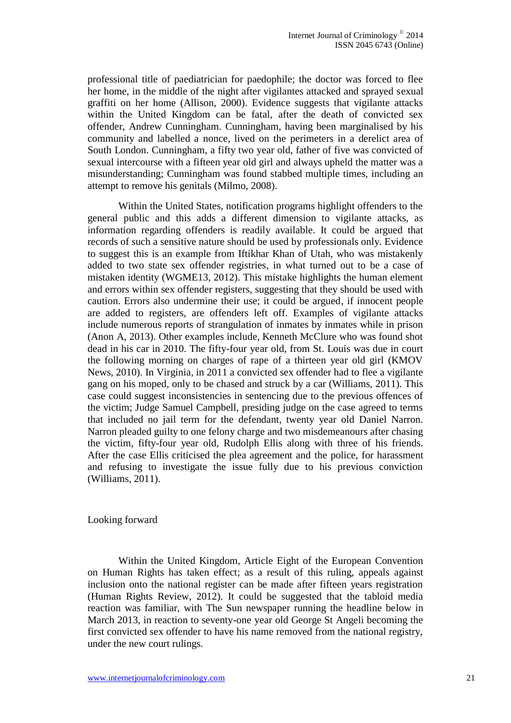professional title of paediatrician for paedophile; the doctor was forced to flee her home, in the middle of the night after vigilantes attacked and sprayed sexual graffiti on her home (Allison, 2000). Evidence suggests that vigilante attacks within the United Kingdom can be fatal, after the death of convicted sex offender, Andrew Cunningham. Cunningham, having been marginalised by his community and labelled a nonce, lived on the perimeters in a derelict area of South London. Cunningham, a fifty two year old, father of five was convicted of sexual intercourse with a fifteen year old girl and always upheld the matter was a misunderstanding; Cunningham was found stabbed multiple times, including an attempt to remove his genitals (Milmo, 2008).

Within the United States, notification programs highlight offenders to the general public and this adds a different dimension to vigilante attacks, as information regarding offenders is readily available. It could be argued that records of such a sensitive nature should be used by professionals only. Evidence to suggest this is an example from Iftikhar Khan of Utah, who was mistakenly added to two state sex offender registries, in what turned out to be a case of mistaken identity (WGME13, 2012). This mistake highlights the human element and errors within sex offender registers, suggesting that they should be used with caution. Errors also undermine their use; it could be argued, if innocent people are added to registers, are offenders left off. Examples of vigilante attacks include numerous reports of strangulation of inmates by inmates while in prison (Anon A, 2013). Other examples include, Kenneth McClure who was found shot dead in his car in 2010. The fifty-four year old, from St. Louis was due in court the following morning on charges of rape of a thirteen year old girl (KMOV News, 2010). In Virginia, in 2011 a convicted sex offender had to flee a vigilante gang on his moped, only to be chased and struck by a car (Williams, 2011). This case could suggest inconsistencies in sentencing due to the previous offences of the victim; Judge Samuel Campbell, presiding judge on the case agreed to terms that included no jail term for the defendant, twenty year old Daniel Narron. Narron pleaded guilty to one felony charge and two misdemeanours after chasing the victim, fifty-four year old, Rudolph Ellis along with three of his friends. After the case Ellis criticised the plea agreement and the police, for harassment and refusing to investigate the issue fully due to his previous conviction (Williams, 2011).

#### Looking forward

Within the United Kingdom, Article Eight of the European Convention on Human Rights has taken effect; as a result of this ruling, appeals against inclusion onto the national register can be made after fifteen years registration (Human Rights Review, 2012). It could be suggested that the tabloid media reaction was familiar, with The Sun newspaper running the headline below in March 2013, in reaction to seventy-one year old George St Angeli becoming the first convicted sex offender to have his name removed from the national registry, under the new court rulings.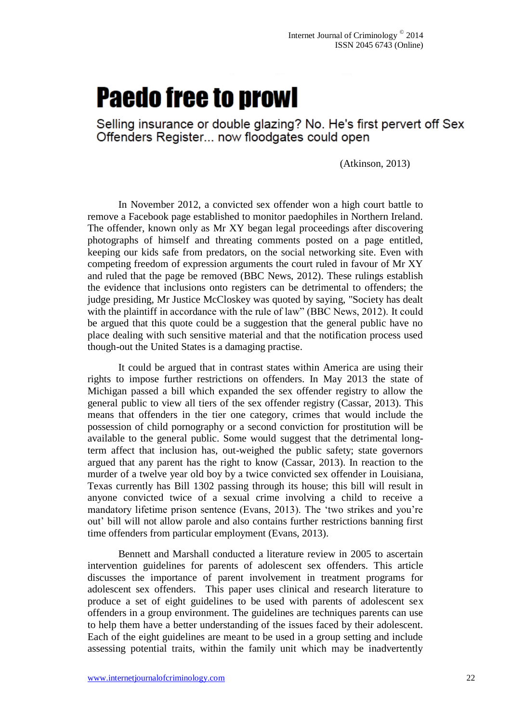# **Paedo free to prowl**

Selling insurance or double glazing? No. He's first pervert off Sex Offenders Register... now floodgates could open

(Atkinson, 2013)

In November 2012, a convicted sex offender won a high court battle to remove a Facebook page established to monitor paedophiles in Northern Ireland. The offender, known only as Mr XY began legal proceedings after discovering photographs of himself and threating comments posted on a page entitled, keeping our kids safe from predators, on the social networking site. Even with competing freedom of expression arguments the court ruled in favour of Mr XY and ruled that the page be removed (BBC News, 2012). These rulings establish the evidence that inclusions onto registers can be detrimental to offenders; the judge presiding, Mr Justice McCloskey was quoted by saying, "Society has dealt with the plaintiff in accordance with the rule of law" (BBC News, 2012). It could be argued that this quote could be a suggestion that the general public have no place dealing with such sensitive material and that the notification process used though-out the United States is a damaging practise.

It could be argued that in contrast states within America are using their rights to impose further restrictions on offenders. In May 2013 the state of Michigan passed a bill which expanded the sex offender registry to allow the general public to view all tiers of the sex offender registry (Cassar, 2013). This means that offenders in the tier one category, crimes that would include the possession of child pornography or a second conviction for prostitution will be available to the general public. Some would suggest that the detrimental longterm affect that inclusion has, out-weighed the public safety; state governors argued that any parent has the right to know (Cassar, 2013). In reaction to the murder of a twelve year old boy by a twice convicted sex offender in Louisiana, Texas currently has Bill 1302 passing through its house; this bill will result in anyone convicted twice of a sexual crime involving a child to receive a mandatory lifetime prison sentence (Evans, 2013). The 'two strikes and you're out' bill will not allow parole and also contains further restrictions banning first time offenders from particular employment (Evans, 2013).

Bennett and Marshall conducted a literature review in 2005 to ascertain intervention guidelines for parents of adolescent sex offenders. This article discusses the importance of parent involvement in treatment programs for adolescent sex offenders. This paper uses clinical and research literature to produce a set of eight guidelines to be used with parents of adolescent sex offenders in a group environment. The guidelines are techniques parents can use to help them have a better understanding of the issues faced by their adolescent. Each of the eight guidelines are meant to be used in a group setting and include assessing potential traits, within the family unit which may be inadvertently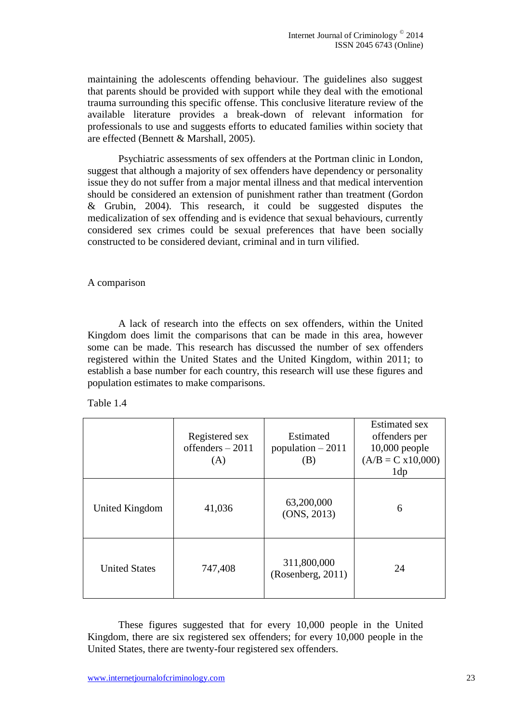maintaining the adolescents offending behaviour. The guidelines also suggest that parents should be provided with support while they deal with the emotional trauma surrounding this specific offense. This conclusive literature review of the available literature provides a break-down of relevant information for professionals to use and suggests efforts to educated families within society that are effected (Bennett & Marshall, 2005).

Psychiatric assessments of sex offenders at the Portman clinic in London, suggest that although a majority of sex offenders have dependency or personality issue they do not suffer from a major mental illness and that medical intervention should be considered an extension of punishment rather than treatment (Gordon & Grubin, 2004). This research, it could be suggested disputes the medicalization of sex offending and is evidence that sexual behaviours, currently considered sex crimes could be sexual preferences that have been socially constructed to be considered deviant, criminal and in turn vilified.

A comparison

A lack of research into the effects on sex offenders, within the United Kingdom does limit the comparisons that can be made in this area, however some can be made. This research has discussed the number of sex offenders registered within the United States and the United Kingdom, within 2011; to establish a base number for each country, this research will use these figures and population estimates to make comparisons.

Table 1.4

|                      | Registered sex<br>offenders $-2011$<br>(A) | Estimated<br>population $-2011$<br>(B) | <b>Estimated sex</b><br>offenders per<br>$10,000$ people<br>$(A/B = C x 10,000)$<br>1dp |
|----------------------|--------------------------------------------|----------------------------------------|-----------------------------------------------------------------------------------------|
| United Kingdom       | 41,036                                     | 63,200,000<br>(ONS, 2013)              | 6                                                                                       |
| <b>United States</b> | 747,408                                    | 311,800,000<br>(Rosenberg, 2011)       | 24                                                                                      |

These figures suggested that for every 10,000 people in the United Kingdom, there are six registered sex offenders; for every 10,000 people in the United States, there are twenty-four registered sex offenders.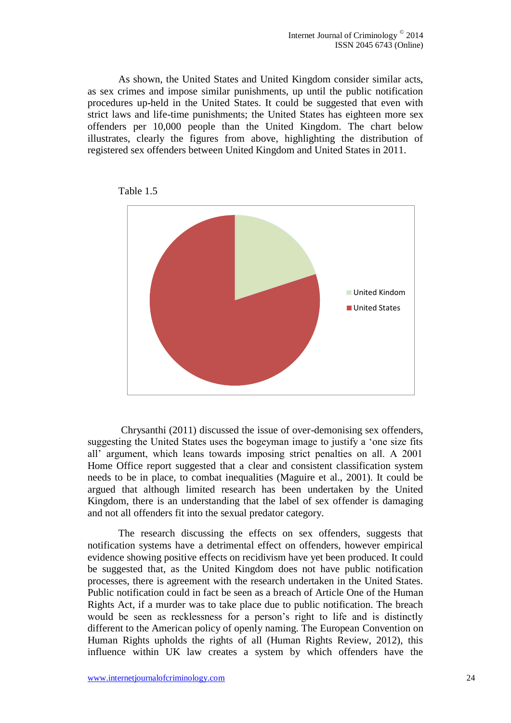As shown, the United States and United Kingdom consider similar acts, as sex crimes and impose similar punishments, up until the public notification procedures up-held in the United States. It could be suggested that even with strict laws and life-time punishments; the United States has eighteen more sex offenders per 10,000 people than the United Kingdom. The chart below illustrates, clearly the figures from above, highlighting the distribution of registered sex offenders between United Kingdom and United States in 2011.



Table 1.5

Chrysanthi (2011) discussed the issue of over-demonising sex offenders, suggesting the United States uses the bogeyman image to justify a 'one size fits all' argument, which leans towards imposing strict penalties on all. A 2001 Home Office report suggested that a clear and consistent classification system needs to be in place, to combat inequalities (Maguire et al., 2001). It could be argued that although limited research has been undertaken by the United Kingdom, there is an understanding that the label of sex offender is damaging and not all offenders fit into the sexual predator category.

The research discussing the effects on sex offenders, suggests that notification systems have a detrimental effect on offenders, however empirical evidence showing positive effects on recidivism have yet been produced. It could be suggested that, as the United Kingdom does not have public notification processes, there is agreement with the research undertaken in the United States. Public notification could in fact be seen as a breach of Article One of the Human Rights Act, if a murder was to take place due to public notification. The breach would be seen as recklessness for a person's right to life and is distinctly different to the American policy of openly naming. The European Convention on Human Rights upholds the rights of all (Human Rights Review, 2012), this influence within UK law creates a system by which offenders have the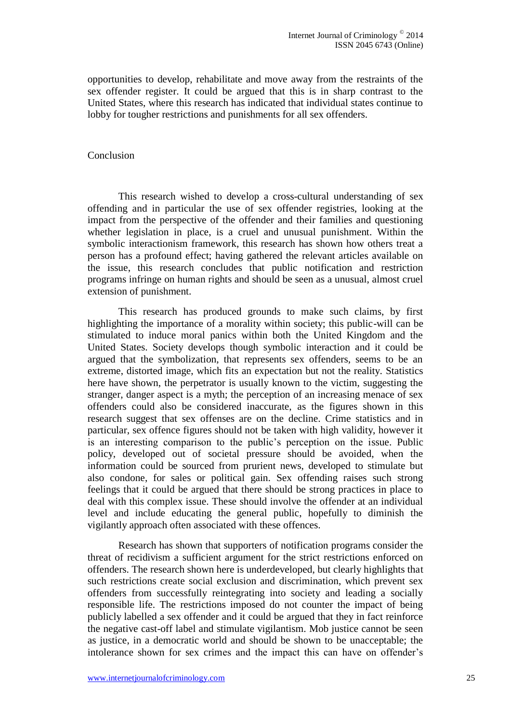opportunities to develop, rehabilitate and move away from the restraints of the sex offender register. It could be argued that this is in sharp contrast to the United States, where this research has indicated that individual states continue to lobby for tougher restrictions and punishments for all sex offenders.

#### Conclusion

This research wished to develop a cross-cultural understanding of sex offending and in particular the use of sex offender registries, looking at the impact from the perspective of the offender and their families and questioning whether legislation in place, is a cruel and unusual punishment. Within the symbolic interactionism framework, this research has shown how others treat a person has a profound effect; having gathered the relevant articles available on the issue, this research concludes that public notification and restriction programs infringe on human rights and should be seen as a unusual, almost cruel extension of punishment.

This research has produced grounds to make such claims, by first highlighting the importance of a morality within society; this public-will can be stimulated to induce moral panics within both the United Kingdom and the United States. Society develops though symbolic interaction and it could be argued that the symbolization, that represents sex offenders, seems to be an extreme, distorted image, which fits an expectation but not the reality. Statistics here have shown, the perpetrator is usually known to the victim, suggesting the stranger, danger aspect is a myth; the perception of an increasing menace of sex offenders could also be considered inaccurate, as the figures shown in this research suggest that sex offenses are on the decline. Crime statistics and in particular, sex offence figures should not be taken with high validity, however it is an interesting comparison to the public's perception on the issue. Public policy, developed out of societal pressure should be avoided, when the information could be sourced from prurient news, developed to stimulate but also condone, for sales or political gain. Sex offending raises such strong feelings that it could be argued that there should be strong practices in place to deal with this complex issue. These should involve the offender at an individual level and include educating the general public, hopefully to diminish the vigilantly approach often associated with these offences.

Research has shown that supporters of notification programs consider the threat of recidivism a sufficient argument for the strict restrictions enforced on offenders. The research shown here is underdeveloped, but clearly highlights that such restrictions create social exclusion and discrimination, which prevent sex offenders from successfully reintegrating into society and leading a socially responsible life. The restrictions imposed do not counter the impact of being publicly labelled a sex offender and it could be argued that they in fact reinforce the negative cast-off label and stimulate vigilantism. Mob justice cannot be seen as justice, in a democratic world and should be shown to be unacceptable; the intolerance shown for sex crimes and the impact this can have on offender's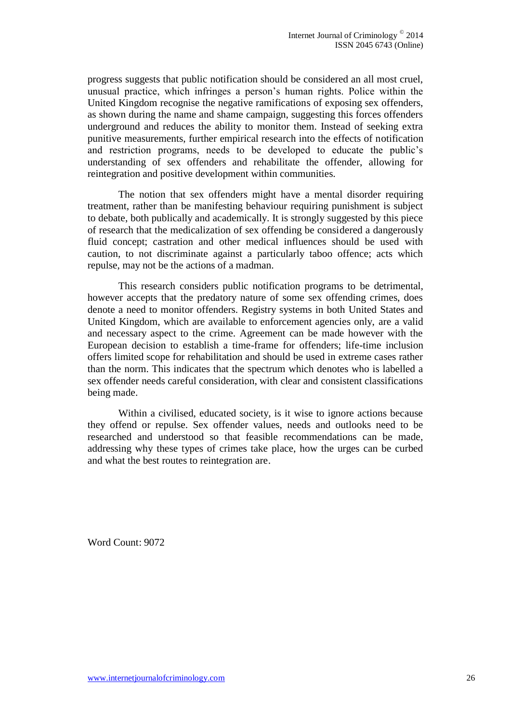progress suggests that public notification should be considered an all most cruel, unusual practice, which infringes a person's human rights. Police within the United Kingdom recognise the negative ramifications of exposing sex offenders, as shown during the name and shame campaign, suggesting this forces offenders underground and reduces the ability to monitor them. Instead of seeking extra punitive measurements, further empirical research into the effects of notification and restriction programs, needs to be developed to educate the public's understanding of sex offenders and rehabilitate the offender, allowing for reintegration and positive development within communities.

The notion that sex offenders might have a mental disorder requiring treatment, rather than be manifesting behaviour requiring punishment is subject to debate, both publically and academically. It is strongly suggested by this piece of research that the medicalization of sex offending be considered a dangerously fluid concept; castration and other medical influences should be used with caution, to not discriminate against a particularly taboo offence; acts which repulse, may not be the actions of a madman.

This research considers public notification programs to be detrimental, however accepts that the predatory nature of some sex offending crimes, does denote a need to monitor offenders. Registry systems in both United States and United Kingdom, which are available to enforcement agencies only, are a valid and necessary aspect to the crime. Agreement can be made however with the European decision to establish a time-frame for offenders; life-time inclusion offers limited scope for rehabilitation and should be used in extreme cases rather than the norm. This indicates that the spectrum which denotes who is labelled a sex offender needs careful consideration, with clear and consistent classifications being made.

Within a civilised, educated society, is it wise to ignore actions because they offend or repulse. Sex offender values, needs and outlooks need to be researched and understood so that feasible recommendations can be made, addressing why these types of crimes take place, how the urges can be curbed and what the best routes to reintegration are.

Word Count: 9072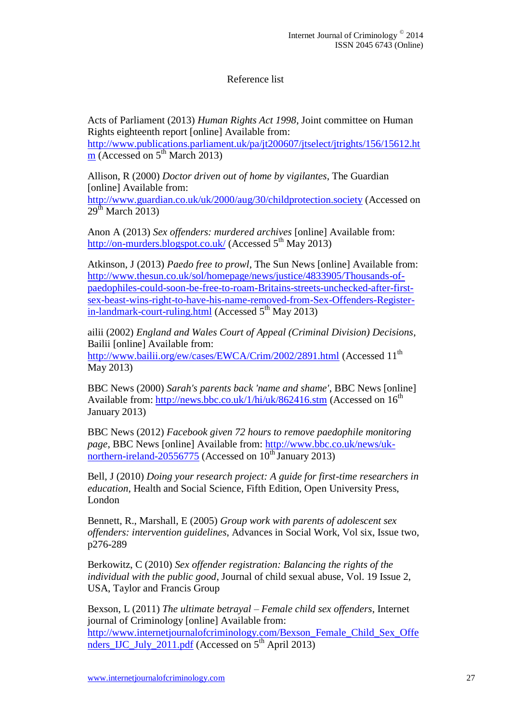# Reference list

Acts of Parliament (2013) *Human Rights Act 1998*, Joint committee on Human Rights eighteenth report [online] Available from: [http://www.publications.parliament.uk/pa/jt200607/jtselect/jtrights/156/15612.ht](http://www.publications.parliament.uk/pa/jt200607/jtselect/jtrights/156/15612.htm)

 $m$  (Accessed on  $5^{th}$  March 2013)

Allison, R (2000) *Doctor driven out of home by vigilantes*, The Guardian [online] Available from: <http://www.guardian.co.uk/uk/2000/aug/30/childprotection.society> (Accessed on  $29<sup>th</sup>$  March  $2013$ )

Anon A (2013) *Sex offenders: murdered archives* [online] Available from: <http://on-murders.blogspot.co.uk/> (Accessed  $5<sup>th</sup>$  May 2013)

Atkinson, J (2013) *Paedo free to prowl*, The Sun News [online] Available from: [http://www.thesun.co.uk/sol/homepage/news/justice/4833905/Thousands-of](http://www.thesun.co.uk/sol/homepage/news/justice/4833905/Thousands-of-paedophiles-could-soon-be-free-to-roam-Britains-streets-unchecked-after-first-sex-beast-wins-right-to-have-his-name-removed-from-Sex-Offenders-Register-in-landmark-court-ruling.html)[paedophiles-could-soon-be-free-to-roam-Britains-streets-unchecked-after-first](http://www.thesun.co.uk/sol/homepage/news/justice/4833905/Thousands-of-paedophiles-could-soon-be-free-to-roam-Britains-streets-unchecked-after-first-sex-beast-wins-right-to-have-his-name-removed-from-Sex-Offenders-Register-in-landmark-court-ruling.html)[sex-beast-wins-right-to-have-his-name-removed-from-Sex-Offenders-Register](http://www.thesun.co.uk/sol/homepage/news/justice/4833905/Thousands-of-paedophiles-could-soon-be-free-to-roam-Britains-streets-unchecked-after-first-sex-beast-wins-right-to-have-his-name-removed-from-Sex-Offenders-Register-in-landmark-court-ruling.html)[in-landmark-court-ruling.html](http://www.thesun.co.uk/sol/homepage/news/justice/4833905/Thousands-of-paedophiles-could-soon-be-free-to-roam-Britains-streets-unchecked-after-first-sex-beast-wins-right-to-have-his-name-removed-from-Sex-Offenders-Register-in-landmark-court-ruling.html) (Accessed  $5<sup>th</sup>$  May 2013)

ailii (2002) *England and Wales Court of Appeal (Criminal Division) Decisions*, Bailii [online] Available from: <http://www.bailii.org/ew/cases/EWCA/Crim/2002/2891.html> (Accessed 11<sup>th</sup>) May 2013)

BBC News (2000) *Sarah's parents back 'name and shame'*, BBC News [online] Available from:<http://news.bbc.co.uk/1/hi/uk/862416.stm> (Accessed on 16<sup>th</sup>) January 2013)

BBC News (2012) *Facebook given 72 hours to remove paedophile monitoring page*, BBC News [online] Available from: [http://www.bbc.co.uk/news/uk](http://www.bbc.co.uk/news/uk-northern-ireland-20556775)[northern-ireland-20556775](http://www.bbc.co.uk/news/uk-northern-ireland-20556775) (Accessed on  $10^{th}$  January 2013)

Bell, J (2010) *Doing your research project: A guide for first-time researchers in education*, Health and Social Science, Fifth Edition, Open University Press, London

Bennett, R., Marshall, E (2005) *Group work with parents of adolescent sex offenders: intervention guidelines*, Advances in Social Work, Vol six, Issue two, p276-289

Berkowitz, C (2010) *Sex offender registration: Balancing the rights of the individual with the public good*, Journal of child sexual abuse, Vol. 19 Issue 2, USA, Taylor and Francis Group

Bexson, L (2011) *The ultimate betrayal – Female child sex offenders*, Internet journal of Criminology [online] Available from: [http://www.internetjournalofcriminology.com/Bexson\\_Female\\_Child\\_Sex\\_Offe](http://www.internetjournalofcriminology.com/Bexson_Female_Child_Sex_Offenders_IJC_July_2011.pdf) nders  $\overline{IC}$  July 2011.pdf (Accessed on  $5<sup>th</sup>$  April 2013)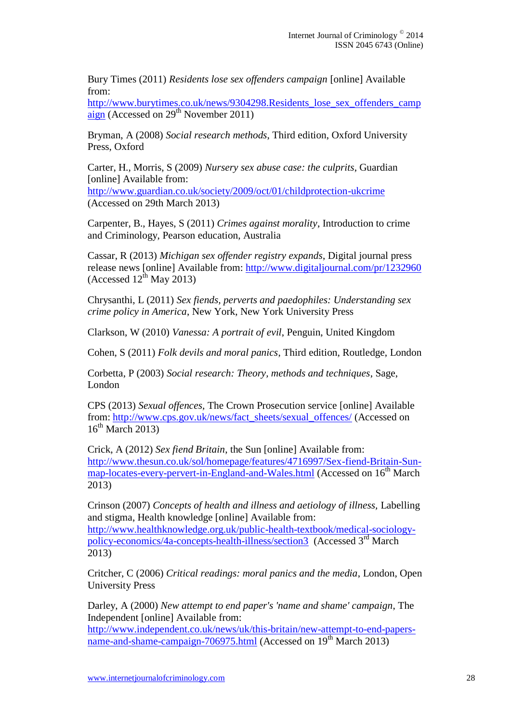Bury Times (2011) *Residents lose sex offenders campaign* [online] Available from:

http://www.burytimes.co.uk/news/9304298.Residents lose sex offenders camp [aign](http://www.burytimes.co.uk/news/9304298.Residents_lose_sex_offenders_campaign) (Accessed on  $29<sup>th</sup>$  November 2011)

Bryman, A (2008) *Social research methods*, Third edition, Oxford University Press, Oxford

Carter, H., Morris, S (2009) *Nursery sex abuse case: the culprits*, Guardian [online] Available from: <http://www.guardian.co.uk/society/2009/oct/01/childprotection-ukcrime>

(Accessed on 29th March 2013)

Carpenter, B., Hayes, S (2011) *Crimes against morality*, Introduction to crime and Criminology, Pearson education, Australia

Cassar, R (2013) *Michigan sex offender registry expands*, Digital journal press release news [online] Available from:<http://www.digitaljournal.com/pr/1232960> (Accessed  $12^{\text{th}}$  May 2013)

Chrysanthi, L (2011) *Sex fiends, perverts and paedophiles: Understanding sex crime policy in America*, New York, New York University Press

Clarkson, W (2010) *Vanessa: A portrait of evil*, Penguin, United Kingdom

Cohen, S (2011) *Folk devils and moral panics*, Third edition, Routledge, London

Corbetta, P (2003) *Social research: Theory, methods and techniques*, Sage, London

CPS (2013) *Sexual offences,* The Crown Prosecution service [online] Available from: [http://www.cps.gov.uk/news/fact\\_sheets/sexual\\_offences/](http://www.cps.gov.uk/news/fact_sheets/sexual_offences/) (Accessed on  $16^{th}$  March 2013)

Crick, A (2012) *Sex fiend Britain*, the Sun [online] Available from: [http://www.thesun.co.uk/sol/homepage/features/4716997/Sex-fiend-Britain-Sun](http://www.thesun.co.uk/sol/homepage/features/4716997/Sex-fiend-Britain-Sun-map-locates-every-pervert-in-England-and-Wales.html)[map-locates-every-pervert-in-England-and-Wales.html](http://www.thesun.co.uk/sol/homepage/features/4716997/Sex-fiend-Britain-Sun-map-locates-every-pervert-in-England-and-Wales.html) (Accessed on 16<sup>th</sup> March 2013)

Crinson (2007) *Concepts of health and illness and aetiology of illness,* Labelling and stigma, Health knowledge [online] Available from: [http://www.healthknowledge.org.uk/public-health-textbook/medical-sociology](http://www.healthknowledge.org.uk/public-health-textbook/medical-sociology-policy-economics/4a-concepts-health-illness/section3)[policy-economics/4a-concepts-health-illness/section3](http://www.healthknowledge.org.uk/public-health-textbook/medical-sociology-policy-economics/4a-concepts-health-illness/section3) (Accessed  $3<sup>rd</sup>$  March 2013)

Critcher, C (2006) *Critical readings: moral panics and the media*, London, Open University Press

Darley, A (2000) *New attempt to end paper's 'name and shame' campaign*, The Independent [online] Available from:

[http://www.independent.co.uk/news/uk/this-britain/new-attempt-to-end-papers](http://www.independent.co.uk/news/uk/this-britain/new-attempt-to-end-papers-name-and-shame-campaign-706975.html)[name-and-shame-campaign-706975.html](http://www.independent.co.uk/news/uk/this-britain/new-attempt-to-end-papers-name-and-shame-campaign-706975.html) (Accessed on 19<sup>th</sup> March 2013)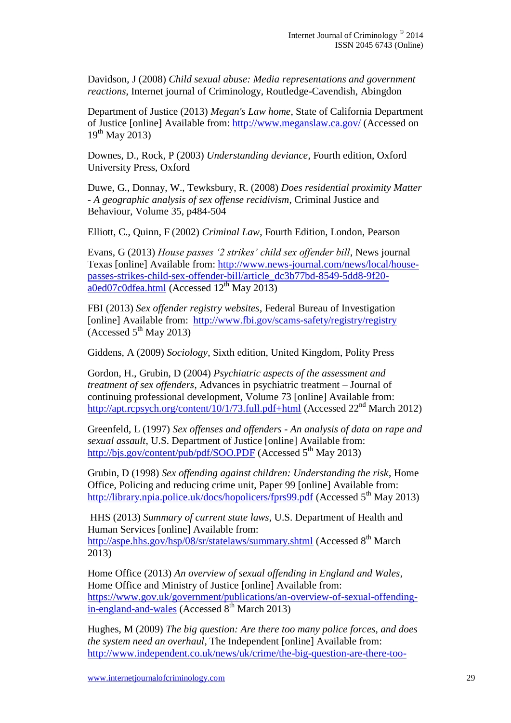Davidson, J (2008) *Child sexual abuse: Media representations and government reactions*, Internet journal of Criminology, Routledge-Cavendish, Abingdon

Department of Justice (2013) *Megan's Law home*, State of California Department of Justice [online] Available from:<http://www.meganslaw.ca.gov/> (Accessed on  $19^{th}$  May 2013)

Downes, D., Rock, P (2003) *Understanding deviance*, Fourth edition, Oxford University Press, Oxford

Duwe, G., Donnay, W., Tewksbury, R. (2008) *Does residential proximity Matter - A geographic analysis of sex offense recidivism*, Criminal Justice and Behaviour, Volume 35, p484-504

Elliott, C., Quinn, F (2002) *Criminal Law*, Fourth Edition, London, Pearson

Evans, G (2013) *House passes '2 strikes' child sex offender bill*, News journal Texas [online] Available from: [http://www.news-journal.com/news/local/house](http://www.news-journal.com/news/local/house-passes-strikes-child-sex-offender-bill/article_dc3b77bd-8549-5dd8-9f20-a0ed07c0dfea.html)[passes-strikes-child-sex-offender-bill/article\\_dc3b77bd-8549-5dd8-9f20](http://www.news-journal.com/news/local/house-passes-strikes-child-sex-offender-bill/article_dc3b77bd-8549-5dd8-9f20-a0ed07c0dfea.html)  $a0$ ed07c0dfea.html (Accessed  $12<sup>th</sup>$  May 2013)

FBI (2013) *Sex offender registry websites*, Federal Bureau of Investigation [online] Available from: <http://www.fbi.gov/scams-safety/registry/registry> (Accessed  $5<sup>th</sup>$  May 2013)

Giddens, A (2009) *Sociology*, Sixth edition, United Kingdom, Polity Press

Gordon, H., Grubin, D (2004) *Psychiatric aspects of the assessment and treatment of sex offenders*, Advances in psychiatric treatment – Journal of continuing professional development, Volume 73 [online] Available from: <http://apt.rcpsych.org/content/10/1/73.full.pdf+html> (Accessed 22<sup>nd</sup> March 2012)

Greenfeld, L (1997) *Sex offenses and offenders - An analysis of data on rape and sexual assault*, U.S. Department of Justice [online] Available from: <http://bjs.gov/content/pub/pdf/SOO.PDF> (Accessed 5<sup>th</sup> May 2013)

Grubin, D (1998) *Sex offending against children: Understanding the risk*, Home Office, Policing and reducing crime unit, Paper 99 [online] Available from: <http://library.npia.police.uk/docs/hopolicers/fprs99.pdf> (Accessed  $5<sup>th</sup>$  May 2013)

HHS (2013) *Summary of current state laws*, U.S. Department of Health and Human Services [online] Available from:

<http://aspe.hhs.gov/hsp/08/sr/statelaws/summary.shtml> (Accessed 8<sup>th</sup> March 2013)

Home Office (2013) *An overview of sexual offending in England and Wales*, Home Office and Ministry of Justice [online] Available from: [https://www.gov.uk/government/publications/an-overview-of-sexual-offending](https://www.gov.uk/government/publications/an-overview-of-sexual-offending-in-england-and-wales)[in-england-and-wales](https://www.gov.uk/government/publications/an-overview-of-sexual-offending-in-england-and-wales) (Accessed  $8^{th}$  March 2013)

Hughes, M (2009) *The big question: Are there too many police forces, and does the system need an overhaul*, The Independent [online] Available from: [http://www.independent.co.uk/news/uk/crime/the-big-question-are-there-too-](http://www.independent.co.uk/news/uk/crime/the-big-question-are-there-too-many-police-forces-and-does-the-system-need-an-overhaul-1823872.html)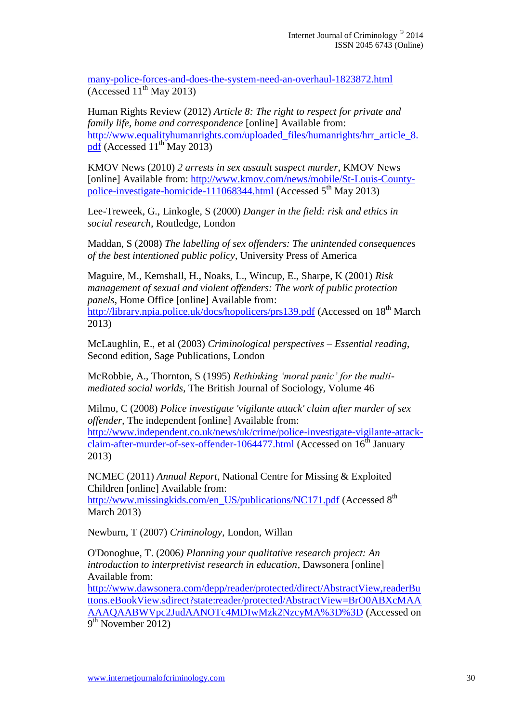many-police-forces-and-does-the-system-need-an-overhaul-1823872.html  $(\text{Accessed } 11^{\text{th}} \text{ May } 2013)$ 

Human Rights Review (2012) *Article 8: The right to respect for private and family life, home and correspondence* [online] Available from: [http://www.equalityhumanrights.com/uploaded\\_files/humanrights/hrr\\_article\\_8.](http://www.equalityhumanrights.com/uploaded_files/humanrights/hrr_article_8.pdf) [pdf](http://www.equalityhumanrights.com/uploaded_files/humanrights/hrr_article_8.pdf) (Accessed  $11^{th}$  May 2013)

KMOV News (2010) *2 arrests in sex assault suspect murder*, KMOV News [online] Available from: [http://www.kmov.com/news/mobile/St-Louis-County](http://www.kmov.com/news/mobile/St-Louis-County-police-investigate-homicide-111068344.html)[police-investigate-homicide-111068344.html](http://www.kmov.com/news/mobile/St-Louis-County-police-investigate-homicide-111068344.html) (Accessed  $5<sup>th</sup>$  May 2013)

Lee-Treweek, G., Linkogle, S (2000) *Danger in the field: risk and ethics in social research*, Routledge, London

Maddan, S (2008) *The labelling of sex offenders: The unintended consequences of the best intentioned public policy*, University Press of America

Maguire, M., Kemshall, H., Noaks, L., Wincup, E., Sharpe, K (2001) *Risk management of sexual and violent offenders: The work of public protection panels*, Home Office [online] Available from: <http://library.npia.police.uk/docs/hopolicers/prs139.pdf> (Accessed on 18<sup>th</sup> March 2013)

McLaughlin, E., et al (2003) *Criminological perspectives – Essential reading*, Second edition, Sage Publications, London

McRobbie, A., Thornton, S (1995) *Rethinking 'moral panic' for the multimediated social worlds*, The British Journal of Sociology, Volume 46

Milmo, C (2008) *Police investigate 'vigilante attack' claim after murder of sex offender*, The independent [online] Available from: [http://www.independent.co.uk/news/uk/crime/police-investigate-vigilante-attack](http://www.independent.co.uk/news/uk/crime/police-investigate-vigilante-attack-claim-after-murder-of-sex-offender-1064477.html)[claim-after-murder-of-sex-offender-1064477.html](http://www.independent.co.uk/news/uk/crime/police-investigate-vigilante-attack-claim-after-murder-of-sex-offender-1064477.html) (Accessed on 16<sup>th</sup> January 2013)

NCMEC (2011) *Annual Report*, National Centre for Missing & Exploited Children [online] Available from: [http://www.missingkids.com/en\\_US/publications/NC171.pdf](http://www.missingkids.com/en_US/publications/NC171.pdf) (Accessed 8<sup>th</sup>)

March 2013)

Newburn, T (2007) *Criminology*, London, Willan

O'Donoghue, T. (2006*) Planning your qualitative research project: An introduction to interpretivist research in education*, Dawsonera [online] Available from:

[http://www.dawsonera.com/depp/reader/protected/direct/AbstractView,readerBu](http://www.dawsonera.com/depp/reader/protected/direct/AbstractView,readerButtons.eBookView.sdirect?state:reader/protected/AbstractView=BrO0ABXcMAAAAAQAABWVpc2JudAANOTc4MDIwMzk2NzcyMA%3D%3D) [ttons.eBookView.sdirect?state:reader/protected/AbstractView=BrO0ABXcMAA](http://www.dawsonera.com/depp/reader/protected/direct/AbstractView,readerButtons.eBookView.sdirect?state:reader/protected/AbstractView=BrO0ABXcMAAAAAQAABWVpc2JudAANOTc4MDIwMzk2NzcyMA%3D%3D) [AAAQAABWVpc2JudAANOTc4MDIwMzk2NzcyMA%3D%3D](http://www.dawsonera.com/depp/reader/protected/direct/AbstractView,readerButtons.eBookView.sdirect?state:reader/protected/AbstractView=BrO0ABXcMAAAAAQAABWVpc2JudAANOTc4MDIwMzk2NzcyMA%3D%3D) (Accessed on  $9<sup>th</sup>$  November 2012)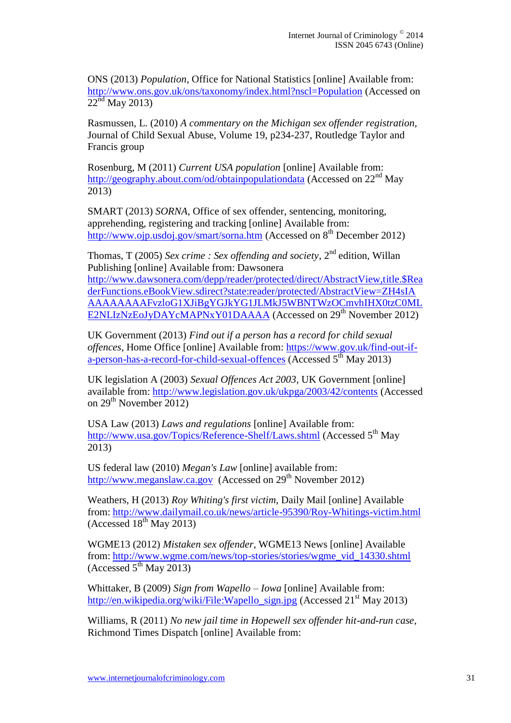ONS (2013) *Population*, Office for National Statistics [online] Available from: <http://www.ons.gov.uk/ons/taxonomy/index.html?nscl=Population> (Accessed on  $22<sup>nd</sup>$  May 2013)

Rasmussen, L. (2010) *A commentary on the Michigan sex offender registration*, Journal of Child Sexual Abuse, Volume 19, p234-237, Routledge Taylor and Francis group

Rosenburg, M (2011) *Current USA population* [online] Available from: <http://geography.about.com/od/obtainpopulationdata> (Accessed on 22<sup>nd</sup> May 2013)

SMART (2013) *SORNA*, Office of sex offender, sentencing, monitoring, apprehending, registering and tracking [online] Available from: <http://www.ojp.usdoj.gov/smart/sorna.htm> (Accessed on  $8<sup>th</sup>$  December 2012)

Thomas, T (2005) *Sex crime : Sex offending and society*, 2nd edition, Willan Publishing [online] Available from: Dawsonera

[http://www.dawsonera.com/depp/reader/protected/direct/AbstractView,title.\\$Rea](http://www.dawsonera.com/depp/reader/protected/direct/AbstractView,title.$ReaderFunctions.eBookView.sdirect?state:reader/protected/AbstractView=ZH4sIAAAAAAAAAFvzloG1XJiBgYGJkYG1JLMkJ5WBNTWzOCmvhIHX0tzC0MLE2NLIzNzEoJyDAYcMAPNxY01DAAAA) [derFunctions.eBookView.sdirect?state:reader/protected/AbstractView=ZH4sIA](http://www.dawsonera.com/depp/reader/protected/direct/AbstractView,title.$ReaderFunctions.eBookView.sdirect?state:reader/protected/AbstractView=ZH4sIAAAAAAAAAFvzloG1XJiBgYGJkYG1JLMkJ5WBNTWzOCmvhIHX0tzC0MLE2NLIzNzEoJyDAYcMAPNxY01DAAAA) [AAAAAAAAFvzloG1XJiBgYGJkYG1JLMkJ5WBNTWzOCmvhIHX0tzC0ML](http://www.dawsonera.com/depp/reader/protected/direct/AbstractView,title.$ReaderFunctions.eBookView.sdirect?state:reader/protected/AbstractView=ZH4sIAAAAAAAAAFvzloG1XJiBgYGJkYG1JLMkJ5WBNTWzOCmvhIHX0tzC0MLE2NLIzNzEoJyDAYcMAPNxY01DAAAA) [E2NLIzNzEoJyDAYcMAPNxY01DAAAA](http://www.dawsonera.com/depp/reader/protected/direct/AbstractView,title.$ReaderFunctions.eBookView.sdirect?state:reader/protected/AbstractView=ZH4sIAAAAAAAAAFvzloG1XJiBgYGJkYG1JLMkJ5WBNTWzOCmvhIHX0tzC0MLE2NLIzNzEoJyDAYcMAPNxY01DAAAA) (Accessed on 29<sup>th</sup> November 2012)

UK Government (2013) *Find out if a person has a record for child sexual offences*, Home Office [online] Available from: [https://www.gov.uk/find-out-if](https://www.gov.uk/find-out-if-a-person-has-a-record-for-child-sexual-offences)[a-person-has-a-record-for-child-sexual-offences](https://www.gov.uk/find-out-if-a-person-has-a-record-for-child-sexual-offences) (Accessed  $5<sup>th</sup>$  May 2013)

UK legislation A (2003) *Sexual Offences Act 2003*, UK Government [online] available from:<http://www.legislation.gov.uk/ukpga/2003/42/contents> (Accessed on  $29<sup>th</sup>$  November 2012)

USA Law (2013) *Laws and regulations* [online] Available from: <http://www.usa.gov/Topics/Reference-Shelf/Laws.shtml> (Accessed 5<sup>th</sup> May 2013)

US federal law (2010) *Megan's Law* [online] available from: [http://www.meganslaw.ca.gov](http://www.meganslaw.ca.gov/) (Accessed on  $29<sup>th</sup>$  November 2012)

Weathers, H (2013) *Roy Whiting's first victim*, Daily Mail [online] Available from:<http://www.dailymail.co.uk/news/article-95390/Roy-Whitings-victim.html> (Accessed  $18<sup>th</sup>$  May 2013)

WGME13 (2012) *Mistaken sex offender*, WGME13 News [online] Available from: [http://www.wgme.com/news/top-stories/stories/wgme\\_vid\\_14330.shtml](http://www.wgme.com/news/top-stories/stories/wgme_vid_14330.shtml) (Accessed  $5<sup>th</sup>$  May 2013)

Whittaker, B (2009) *Sign from Wapello – Iowa* [online] Available from: [http://en.wikipedia.org/wiki/File:Wapello\\_sign.jpg](http://en.wikipedia.org/wiki/File:Wapello_sign.jpg) (Accessed 21<sup>st</sup> May 2013)

Williams, R (2011) *No new jail time in Hopewell sex offender hit-and-run case*, Richmond Times Dispatch [online] Available from: